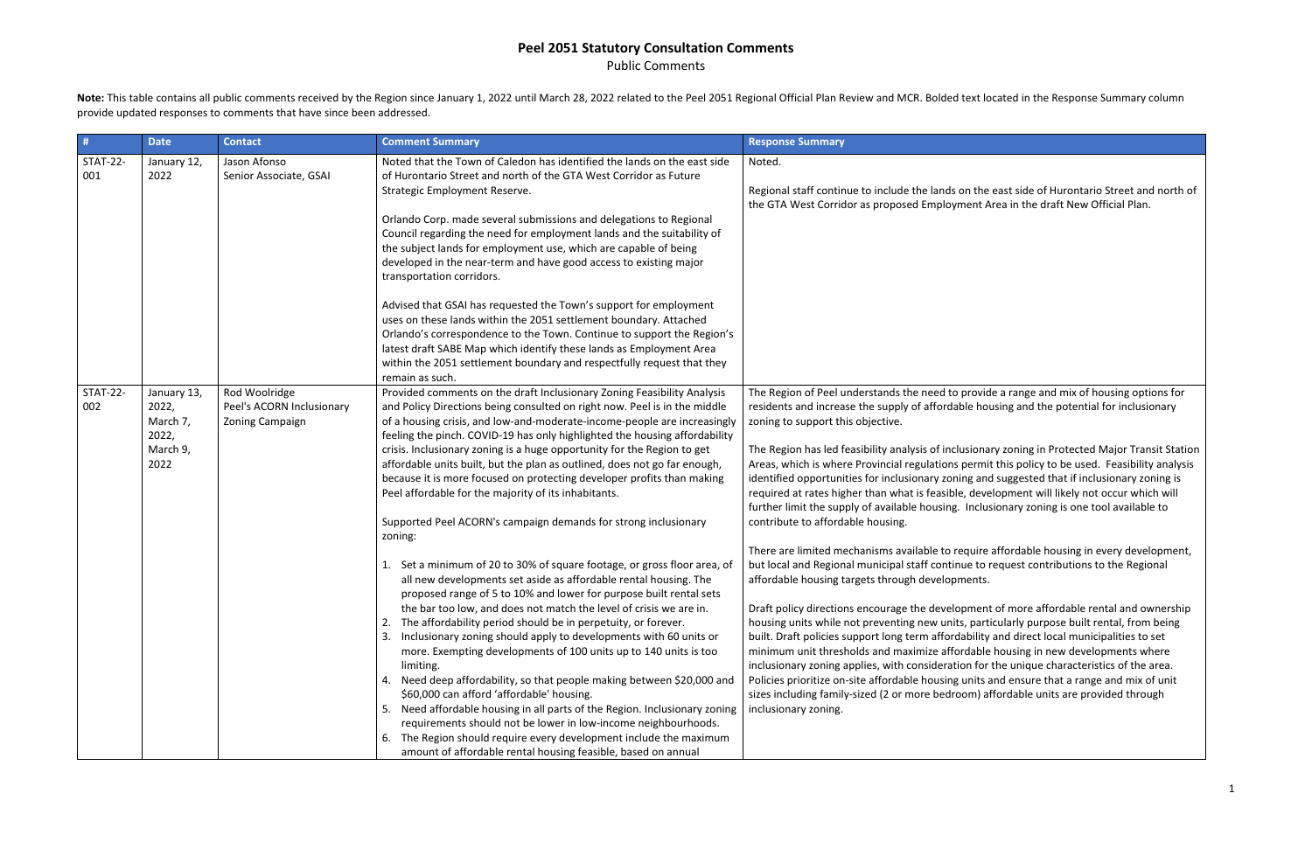Public Comments

Note: This table contains all public comments received by the Region since January 1, 2022 until March 28, 2022 related to the Peel 2051 Regional Official Plan Review and MCR. Bolded text located in the Response Summary co provide updated responses to comments that have since been addressed.

| #                      | <b>Date</b>                                                   | <b>Contact</b>                                                | <b>Comment Summary</b>                                                                                                                                                                                                                                                                                                                                                                                                                                                                                                                                                                                                                                                                                                                                                                                                                                                                                                                          | <b>Response Summary</b>                                                                                                                                                                                                                                                                                                                                                                                                                                                                                                    |
|------------------------|---------------------------------------------------------------|---------------------------------------------------------------|-------------------------------------------------------------------------------------------------------------------------------------------------------------------------------------------------------------------------------------------------------------------------------------------------------------------------------------------------------------------------------------------------------------------------------------------------------------------------------------------------------------------------------------------------------------------------------------------------------------------------------------------------------------------------------------------------------------------------------------------------------------------------------------------------------------------------------------------------------------------------------------------------------------------------------------------------|----------------------------------------------------------------------------------------------------------------------------------------------------------------------------------------------------------------------------------------------------------------------------------------------------------------------------------------------------------------------------------------------------------------------------------------------------------------------------------------------------------------------------|
| <b>STAT-22-</b><br>001 | January 12,<br>2022                                           | Jason Afonso<br>Senior Associate, GSAI                        | Noted that the Town of Caledon has identified the lands on the east side<br>of Hurontario Street and north of the GTA West Corridor as Future<br>Strategic Employment Reserve.                                                                                                                                                                                                                                                                                                                                                                                                                                                                                                                                                                                                                                                                                                                                                                  | Noted.<br>Regional staff continue to include the lands o<br>the GTA West Corridor as proposed Employn                                                                                                                                                                                                                                                                                                                                                                                                                      |
|                        |                                                               |                                                               | Orlando Corp. made several submissions and delegations to Regional<br>Council regarding the need for employment lands and the suitability of<br>the subject lands for employment use, which are capable of being<br>developed in the near-term and have good access to existing major<br>transportation corridors.                                                                                                                                                                                                                                                                                                                                                                                                                                                                                                                                                                                                                              |                                                                                                                                                                                                                                                                                                                                                                                                                                                                                                                            |
|                        |                                                               |                                                               | Advised that GSAI has requested the Town's support for employment<br>uses on these lands within the 2051 settlement boundary. Attached<br>Orlando's correspondence to the Town. Continue to support the Region's<br>latest draft SABE Map which identify these lands as Employment Area<br>within the 2051 settlement boundary and respectfully request that they<br>remain as such.                                                                                                                                                                                                                                                                                                                                                                                                                                                                                                                                                            |                                                                                                                                                                                                                                                                                                                                                                                                                                                                                                                            |
| <b>STAT-22-</b><br>002 | January 13,<br>2022,<br>March 7,<br>2022,<br>March 9,<br>2022 | Rod Woolridge<br>Peel's ACORN Inclusionary<br>Zoning Campaign | Provided comments on the draft Inclusionary Zoning Feasibility Analysis<br>and Policy Directions being consulted on right now. Peel is in the middle<br>of a housing crisis, and low-and-moderate-income-people are increasingly<br>feeling the pinch. COVID-19 has only highlighted the housing affordability<br>crisis. Inclusionary zoning is a huge opportunity for the Region to get<br>affordable units built, but the plan as outlined, does not go far enough,<br>because it is more focused on protecting developer profits than making<br>Peel affordable for the majority of its inhabitants.<br>Supported Peel ACORN's campaign demands for strong inclusionary<br>zoning:                                                                                                                                                                                                                                                          | The Region of Peel understands the need to<br>residents and increase the supply of affordal<br>zoning to support this objective.<br>The Region has led feasibility analysis of inclu<br>Areas, which is where Provincial regulations<br>identified opportunities for inclusionary zoni<br>required at rates higher than what is feasible<br>further limit the supply of available housing.<br>contribute to affordable housing.                                                                                            |
|                        |                                                               |                                                               | Set a minimum of 20 to 30% of square footage, or gross floor area, of<br>1.<br>all new developments set aside as affordable rental housing. The<br>proposed range of 5 to 10% and lower for purpose built rental sets<br>the bar too low, and does not match the level of crisis we are in.<br>The affordability period should be in perpetuity, or forever.<br>Inclusionary zoning should apply to developments with 60 units or<br>3.<br>more. Exempting developments of 100 units up to 140 units is too<br>limiting.<br>Need deep affordability, so that people making between \$20,000 and<br>4.<br>\$60,000 can afford 'affordable' housing.<br>Need affordable housing in all parts of the Region. Inclusionary zoning<br>5.<br>requirements should not be lower in low-income neighbourhoods.<br>The Region should require every development include the maximum<br>6.<br>amount of affordable rental housing feasible, based on annual | There are limited mechanisms available to re<br>but local and Regional municipal staff contin<br>affordable housing targets through developn<br>Draft policy directions encourage the develo<br>housing units while not preventing new units<br>built. Draft policies support long term afford.<br>minimum unit thresholds and maximize affor<br>inclusionary zoning applies, with consideratio<br>Policies prioritize on-site affordable housing<br>sizes including family-sized (2 or more bedro<br>inclusionary zoning. |

on the east side of Hurontario Street and north of nent Area in the draft New Official Plan.

provide a range and mix of housing options for ble housing and the potential for inclusionary

usionary zoning in Protected Major Transit Station permit this policy to be used. Feasibility analysis ing and suggested that if inclusionary zoning is e, development will likely not occur which will Inclusionary zoning is one tool available to

equire affordable housing in every development, ue to request contributions to the Regional nents.

pment of more affordable rental and ownership s, particularly purpose built rental, from being ability and direct local municipalities to set rdable housing in new developments where on for the unique characteristics of the area. units and ensure that a range and mix of unit om) affordable units are provided through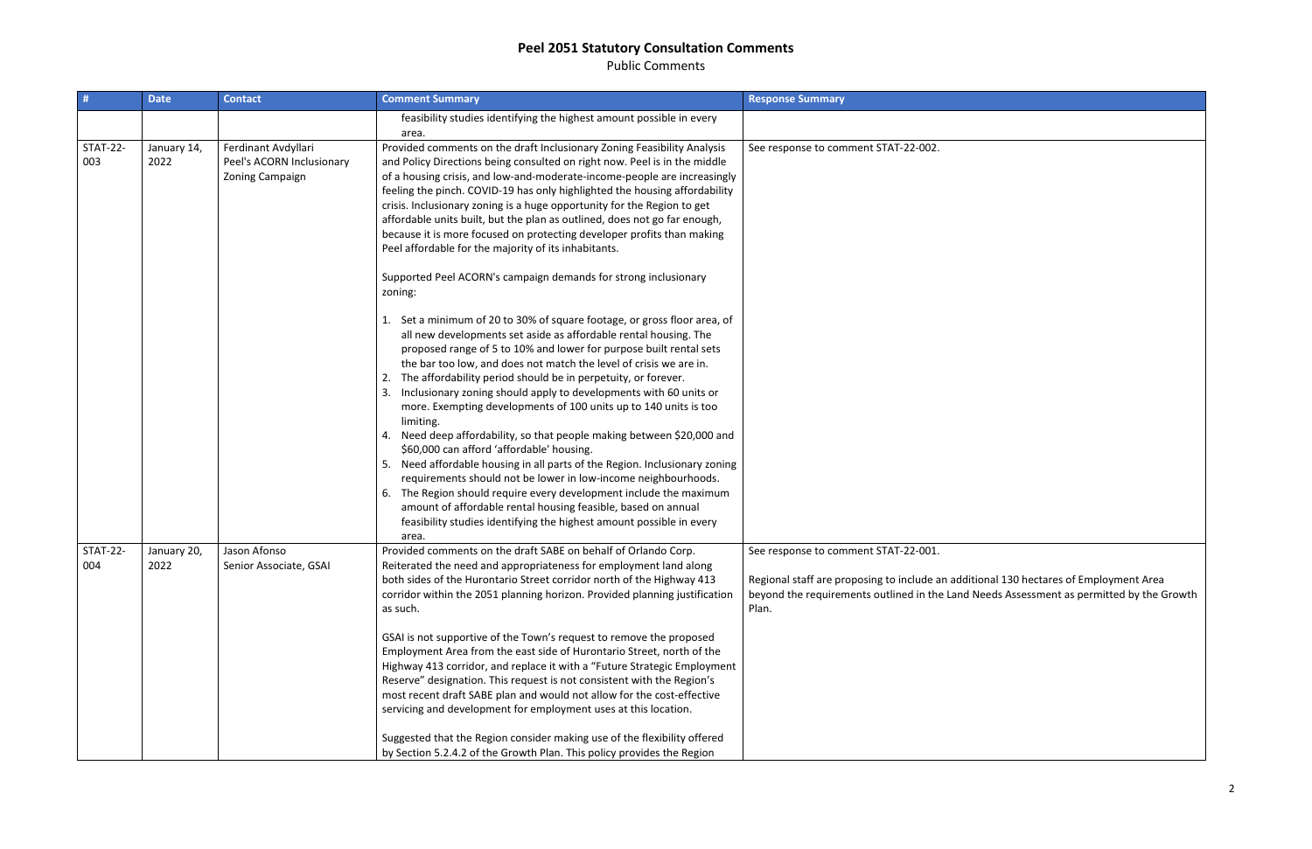Public Comments

| #                      | <b>Date</b>         | <b>Contact</b>                                                      | <b>Comment Summary</b>                                                                                                                                                                                                                                                                                                                                                                                                                                                                                                                                                                                                                                                                                                                                                                                                                                                                                                                                                                                   | <b>Response Summary</b>                                                                                                                                                                                                            |
|------------------------|---------------------|---------------------------------------------------------------------|----------------------------------------------------------------------------------------------------------------------------------------------------------------------------------------------------------------------------------------------------------------------------------------------------------------------------------------------------------------------------------------------------------------------------------------------------------------------------------------------------------------------------------------------------------------------------------------------------------------------------------------------------------------------------------------------------------------------------------------------------------------------------------------------------------------------------------------------------------------------------------------------------------------------------------------------------------------------------------------------------------|------------------------------------------------------------------------------------------------------------------------------------------------------------------------------------------------------------------------------------|
|                        |                     |                                                                     | feasibility studies identifying the highest amount possible in every<br>area.                                                                                                                                                                                                                                                                                                                                                                                                                                                                                                                                                                                                                                                                                                                                                                                                                                                                                                                            |                                                                                                                                                                                                                                    |
| <b>STAT-22-</b><br>003 | January 14,<br>2022 | Ferdinant Avdyllari<br>Peel's ACORN Inclusionary<br>Zoning Campaign | Provided comments on the draft Inclusionary Zoning Feasibility Analysis<br>and Policy Directions being consulted on right now. Peel is in the middle<br>of a housing crisis, and low-and-moderate-income-people are increasingly<br>feeling the pinch. COVID-19 has only highlighted the housing affordability<br>crisis. Inclusionary zoning is a huge opportunity for the Region to get<br>affordable units built, but the plan as outlined, does not go far enough,<br>because it is more focused on protecting developer profits than making<br>Peel affordable for the majority of its inhabitants.                                                                                                                                                                                                                                                                                                                                                                                                 | See response to comment STAT-22-002.                                                                                                                                                                                               |
|                        |                     |                                                                     | Supported Peel ACORN's campaign demands for strong inclusionary<br>zoning:                                                                                                                                                                                                                                                                                                                                                                                                                                                                                                                                                                                                                                                                                                                                                                                                                                                                                                                               |                                                                                                                                                                                                                                    |
|                        |                     |                                                                     | Set a minimum of 20 to 30% of square footage, or gross floor area, of<br>all new developments set aside as affordable rental housing. The<br>proposed range of 5 to 10% and lower for purpose built rental sets<br>the bar too low, and does not match the level of crisis we are in.<br>The affordability period should be in perpetuity, or forever.<br>Inclusionary zoning should apply to developments with 60 units or<br>more. Exempting developments of 100 units up to 140 units is too<br>limiting.<br>Need deep affordability, so that people making between \$20,000 and<br>\$60,000 can afford 'affordable' housing.<br>Need affordable housing in all parts of the Region. Inclusionary zoning<br>requirements should not be lower in low-income neighbourhoods.<br>The Region should require every development include the maximum<br>6.<br>amount of affordable rental housing feasible, based on annual<br>feasibility studies identifying the highest amount possible in every<br>area. |                                                                                                                                                                                                                                    |
| <b>STAT-22-</b><br>004 | January 20,<br>2022 | Jason Afonso<br>Senior Associate, GSAI                              | Provided comments on the draft SABE on behalf of Orlando Corp.<br>Reiterated the need and appropriateness for employment land along<br>both sides of the Hurontario Street corridor north of the Highway 413<br>corridor within the 2051 planning horizon. Provided planning justification<br>as such.<br>GSAI is not supportive of the Town's request to remove the proposed<br>Employment Area from the east side of Hurontario Street, north of the<br>Highway 413 corridor, and replace it with a "Future Strategic Employment<br>Reserve" designation. This request is not consistent with the Region's<br>most recent draft SABE plan and would not allow for the cost-effective<br>servicing and development for employment uses at this location.                                                                                                                                                                                                                                                | See response to comment STAT-22-001.<br>Regional staff are proposing to include an additional 130 hectares of Employment Area<br>beyond the requirements outlined in the Land Needs Assessment as permitted by the Growth<br>Plan. |
|                        |                     |                                                                     | Suggested that the Region consider making use of the flexibility offered<br>by Section 5.2.4.2 of the Growth Plan. This policy provides the Region                                                                                                                                                                                                                                                                                                                                                                                                                                                                                                                                                                                                                                                                                                                                                                                                                                                       |                                                                                                                                                                                                                                    |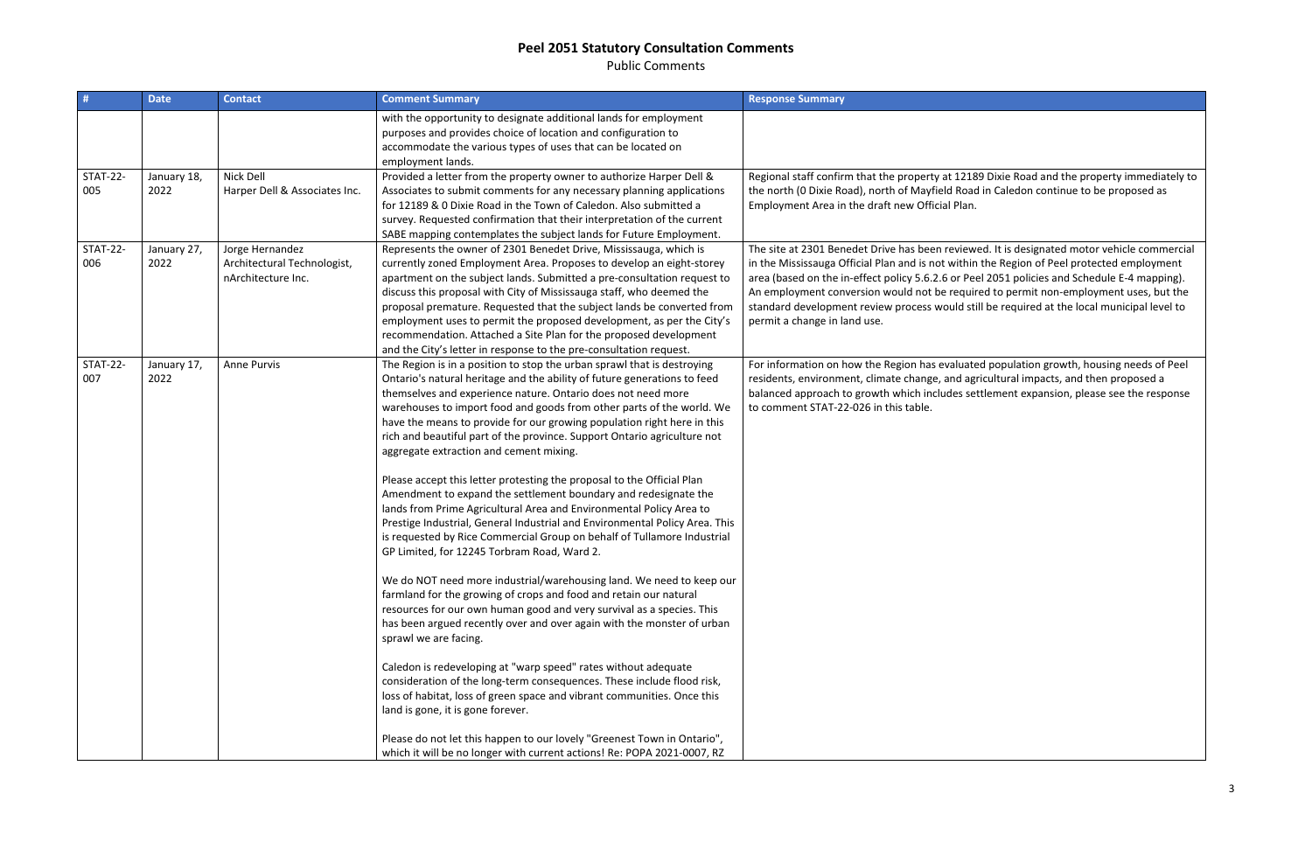Public Comments

| #                      | <b>Date</b>         | <b>Contact</b>                                                       | <b>Comment Summary</b>                                                                                                                                                                                                                                                                                                                                                                                                                                                                                                                                                                                                                                                                                                                                                                                                                                                                                                                                                                                                                                                                                                                                                                                                                                                                                                                                                                                                                                                                                                                                                                                                                                                 | <b>Response Summary</b>                                                                                                                                                                                                                                                                    |
|------------------------|---------------------|----------------------------------------------------------------------|------------------------------------------------------------------------------------------------------------------------------------------------------------------------------------------------------------------------------------------------------------------------------------------------------------------------------------------------------------------------------------------------------------------------------------------------------------------------------------------------------------------------------------------------------------------------------------------------------------------------------------------------------------------------------------------------------------------------------------------------------------------------------------------------------------------------------------------------------------------------------------------------------------------------------------------------------------------------------------------------------------------------------------------------------------------------------------------------------------------------------------------------------------------------------------------------------------------------------------------------------------------------------------------------------------------------------------------------------------------------------------------------------------------------------------------------------------------------------------------------------------------------------------------------------------------------------------------------------------------------------------------------------------------------|--------------------------------------------------------------------------------------------------------------------------------------------------------------------------------------------------------------------------------------------------------------------------------------------|
|                        |                     |                                                                      | with the opportunity to designate additional lands for employment<br>purposes and provides choice of location and configuration to<br>accommodate the various types of uses that can be located on<br>employment lands.                                                                                                                                                                                                                                                                                                                                                                                                                                                                                                                                                                                                                                                                                                                                                                                                                                                                                                                                                                                                                                                                                                                                                                                                                                                                                                                                                                                                                                                |                                                                                                                                                                                                                                                                                            |
| <b>STAT-22-</b><br>005 | January 18,<br>2022 | Nick Dell<br>Harper Dell & Associates Inc.                           | Provided a letter from the property owner to authorize Harper Dell &<br>Associates to submit comments for any necessary planning applications<br>for 12189 & 0 Dixie Road in the Town of Caledon. Also submitted a<br>survey. Requested confirmation that their interpretation of the current<br>SABE mapping contemplates the subject lands for Future Employment.                                                                                                                                                                                                                                                                                                                                                                                                                                                                                                                                                                                                                                                                                                                                                                                                                                                                                                                                                                                                                                                                                                                                                                                                                                                                                                    | Regional staff confirm that the property at 1218<br>the north (0 Dixie Road), north of Mayfield Road<br>Employment Area in the draft new Official Plan.                                                                                                                                    |
| <b>STAT-22-</b><br>006 | January 27,<br>2022 | Jorge Hernandez<br>Architectural Technologist,<br>nArchitecture Inc. | Represents the owner of 2301 Benedet Drive, Mississauga, which is<br>currently zoned Employment Area. Proposes to develop an eight-storey<br>apartment on the subject lands. Submitted a pre-consultation request to<br>discuss this proposal with City of Mississauga staff, who deemed the<br>proposal premature. Requested that the subject lands be converted from<br>employment uses to permit the proposed development, as per the City's<br>recommendation. Attached a Site Plan for the proposed development<br>and the City's letter in response to the pre-consultation request.                                                                                                                                                                                                                                                                                                                                                                                                                                                                                                                                                                                                                                                                                                                                                                                                                                                                                                                                                                                                                                                                             | The site at 2301 Benedet Drive has been review<br>in the Mississauga Official Plan and is not within<br>area (based on the in-effect policy 5.6.2.6 or Pe<br>An employment conversion would not be requir<br>standard development review process would sti<br>permit a change in land use. |
| <b>STAT-22-</b><br>007 | January 17,<br>2022 | <b>Anne Purvis</b>                                                   | The Region is in a position to stop the urban sprawl that is destroying<br>Ontario's natural heritage and the ability of future generations to feed<br>themselves and experience nature. Ontario does not need more<br>warehouses to import food and goods from other parts of the world. We<br>have the means to provide for our growing population right here in this<br>rich and beautiful part of the province. Support Ontario agriculture not<br>aggregate extraction and cement mixing.<br>Please accept this letter protesting the proposal to the Official Plan<br>Amendment to expand the settlement boundary and redesignate the<br>lands from Prime Agricultural Area and Environmental Policy Area to<br>Prestige Industrial, General Industrial and Environmental Policy Area. This<br>is requested by Rice Commercial Group on behalf of Tullamore Industrial<br>GP Limited, for 12245 Torbram Road, Ward 2.<br>We do NOT need more industrial/warehousing land. We need to keep our<br>farmland for the growing of crops and food and retain our natural<br>resources for our own human good and very survival as a species. This<br>has been argued recently over and over again with the monster of urban<br>sprawl we are facing.<br>Caledon is redeveloping at "warp speed" rates without adequate<br>consideration of the long-term consequences. These include flood risk,<br>loss of habitat, loss of green space and vibrant communities. Once this<br>land is gone, it is gone forever.<br>Please do not let this happen to our lovely "Greenest Town in Ontario",<br>which it will be no longer with current actions! Re: POPA 2021-0007, RZ | For information on how the Region has evaluate<br>residents, environment, climate change, and ag<br>balanced approach to growth which includes se<br>to comment STAT-22-026 in this table.                                                                                                 |

2189 Dixie Road and the property immediately to toad in Caledon continue to be proposed as

riewed. It is designated motor vehicle commercial thin the Region of Peel protected employment reel 2051 policies and Schedule E-4 mapping). quired to permit non-employment uses, but the d still be required at the local municipal level to

uated population growth, housing needs of Peel d agricultural impacts, and then proposed a s settlement expansion, please see the response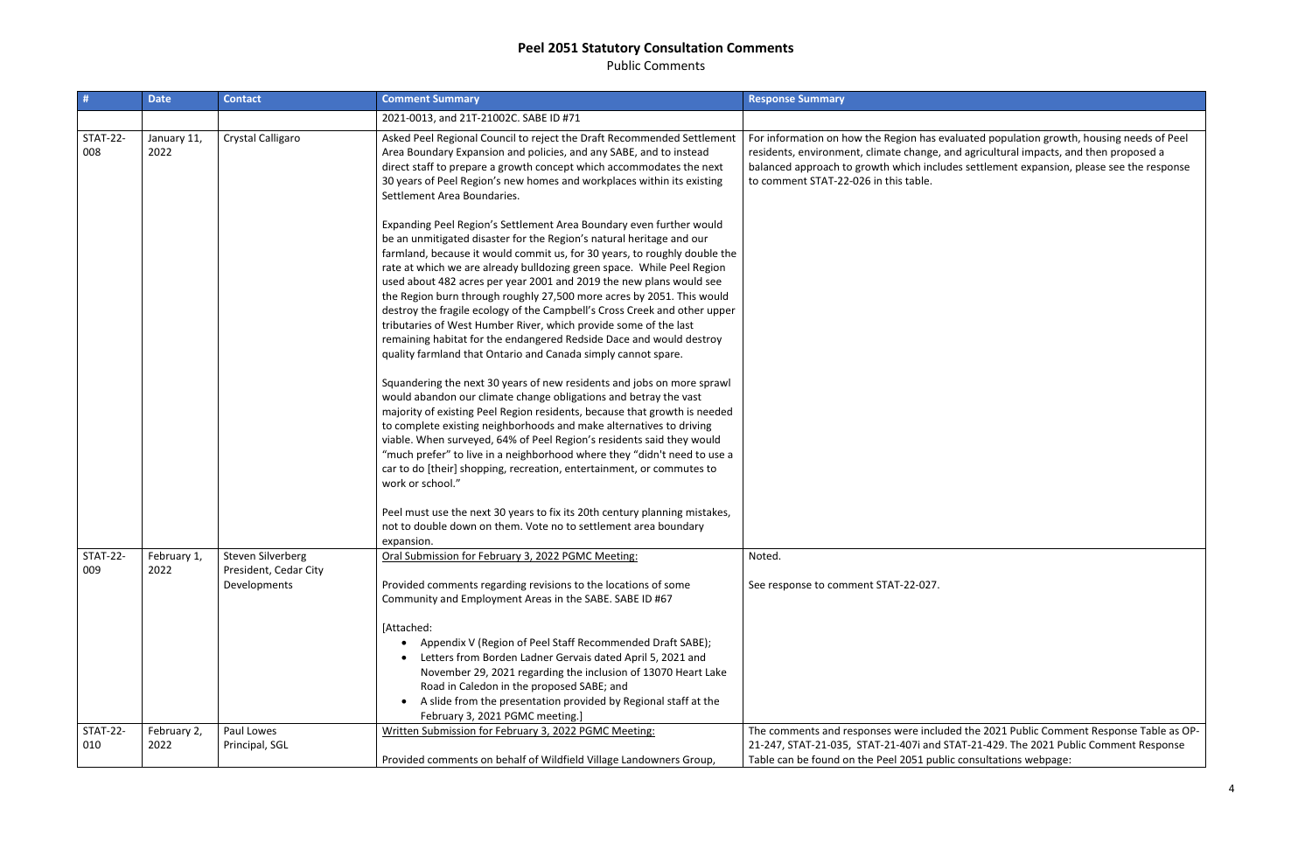Public Comments

| #                      | <b>Date</b>         | <b>Contact</b>                        | <b>Comment Summary</b>                                                                                                                                                                                                                                                                                                                                                                                                                                                                                                                                                                                                                                                                                                                                                                                                                                                                                                                                                                                                                                                                                                                                                                                                                                                                          | <b>Response Summary</b>                                                                                                                                                              |
|------------------------|---------------------|---------------------------------------|-------------------------------------------------------------------------------------------------------------------------------------------------------------------------------------------------------------------------------------------------------------------------------------------------------------------------------------------------------------------------------------------------------------------------------------------------------------------------------------------------------------------------------------------------------------------------------------------------------------------------------------------------------------------------------------------------------------------------------------------------------------------------------------------------------------------------------------------------------------------------------------------------------------------------------------------------------------------------------------------------------------------------------------------------------------------------------------------------------------------------------------------------------------------------------------------------------------------------------------------------------------------------------------------------|--------------------------------------------------------------------------------------------------------------------------------------------------------------------------------------|
|                        |                     |                                       | 2021-0013, and 21T-21002C. SABE ID #71                                                                                                                                                                                                                                                                                                                                                                                                                                                                                                                                                                                                                                                                                                                                                                                                                                                                                                                                                                                                                                                                                                                                                                                                                                                          |                                                                                                                                                                                      |
| <b>STAT-22-</b><br>008 | January 11,<br>2022 | Crystal Calligaro                     | Asked Peel Regional Council to reject the Draft Recommended Settlement<br>Area Boundary Expansion and policies, and any SABE, and to instead<br>direct staff to prepare a growth concept which accommodates the next<br>30 years of Peel Region's new homes and workplaces within its existing<br>Settlement Area Boundaries.                                                                                                                                                                                                                                                                                                                                                                                                                                                                                                                                                                                                                                                                                                                                                                                                                                                                                                                                                                   | For information on how the Region has evalua<br>residents, environment, climate change, and a<br>balanced approach to growth which includes<br>to comment STAT-22-026 in this table. |
|                        |                     |                                       | Expanding Peel Region's Settlement Area Boundary even further would<br>be an unmitigated disaster for the Region's natural heritage and our<br>farmland, because it would commit us, for 30 years, to roughly double the<br>rate at which we are already bulldozing green space. While Peel Region<br>used about 482 acres per year 2001 and 2019 the new plans would see<br>the Region burn through roughly 27,500 more acres by 2051. This would<br>destroy the fragile ecology of the Campbell's Cross Creek and other upper<br>tributaries of West Humber River, which provide some of the last<br>remaining habitat for the endangered Redside Dace and would destroy<br>quality farmland that Ontario and Canada simply cannot spare.<br>Squandering the next 30 years of new residents and jobs on more sprawl<br>would abandon our climate change obligations and betray the vast<br>majority of existing Peel Region residents, because that growth is needed<br>to complete existing neighborhoods and make alternatives to driving<br>viable. When surveyed, 64% of Peel Region's residents said they would<br>"much prefer" to live in a neighborhood where they "didn't need to use a<br>car to do [their] shopping, recreation, entertainment, or commutes to<br>work or school." |                                                                                                                                                                                      |
|                        |                     |                                       | Peel must use the next 30 years to fix its 20th century planning mistakes,<br>not to double down on them. Vote no to settlement area boundary<br>expansion.                                                                                                                                                                                                                                                                                                                                                                                                                                                                                                                                                                                                                                                                                                                                                                                                                                                                                                                                                                                                                                                                                                                                     |                                                                                                                                                                                      |
| <b>STAT-22-</b>        | February 1,         | <b>Steven Silverberg</b>              | Oral Submission for February 3, 2022 PGMC Meeting:                                                                                                                                                                                                                                                                                                                                                                                                                                                                                                                                                                                                                                                                                                                                                                                                                                                                                                                                                                                                                                                                                                                                                                                                                                              | Noted.                                                                                                                                                                               |
| 009                    | 2022                | President, Cedar City<br>Developments | Provided comments regarding revisions to the locations of some<br>Community and Employment Areas in the SABE. SABE ID #67                                                                                                                                                                                                                                                                                                                                                                                                                                                                                                                                                                                                                                                                                                                                                                                                                                                                                                                                                                                                                                                                                                                                                                       | See response to comment STAT-22-027.                                                                                                                                                 |
|                        |                     |                                       | [Attached:<br>Appendix V (Region of Peel Staff Recommended Draft SABE);<br>٠<br>Letters from Borden Ladner Gervais dated April 5, 2021 and<br>November 29, 2021 regarding the inclusion of 13070 Heart Lake<br>Road in Caledon in the proposed SABE; and<br>A slide from the presentation provided by Regional staff at the<br>$\bullet$<br>February 3, 2021 PGMC meeting.]                                                                                                                                                                                                                                                                                                                                                                                                                                                                                                                                                                                                                                                                                                                                                                                                                                                                                                                     |                                                                                                                                                                                      |
| <b>STAT-22-</b><br>010 | February 2,<br>2022 | Paul Lowes<br>Principal, SGL          | Written Submission for February 3, 2022 PGMC Meeting:<br>Provided comments on behalf of Wildfield Village Landowners Group,                                                                                                                                                                                                                                                                                                                                                                                                                                                                                                                                                                                                                                                                                                                                                                                                                                                                                                                                                                                                                                                                                                                                                                     | The comments and responses were included<br>21-247, STAT-21-035, STAT-21-407i and STAT<br>Table can be found on the Peel 2051 public co                                              |

ated population growth, housing needs of Peel agricultural impacts, and then proposed a s settlement expansion, please see the response

the 2021 Public Comment Response Table as OP-T-21-429. The 2021 Public Comment Response on sultations webpage: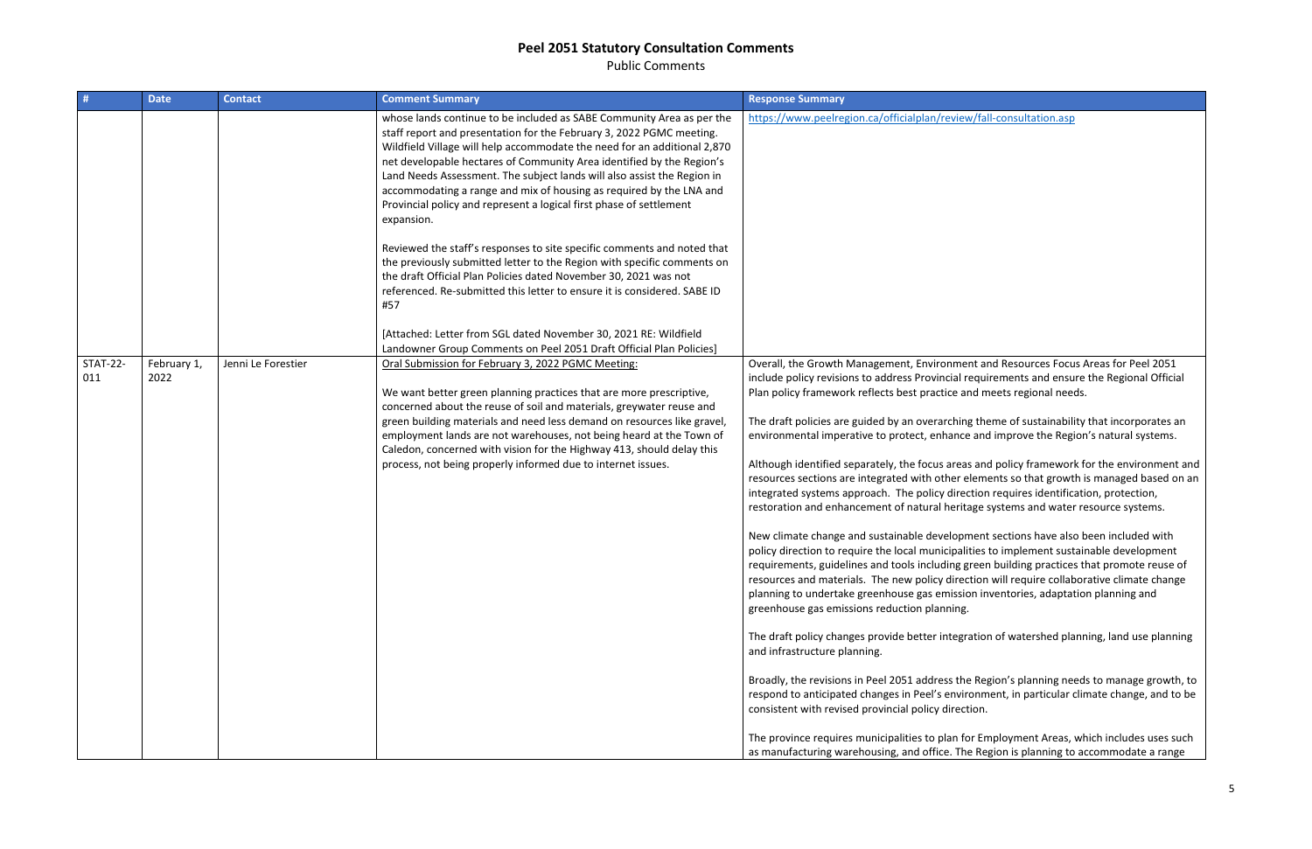Public Comments

| -#                     | <b>Date</b>         | <b>Contact</b>     | <b>Comment Summary</b>                                                                                                                                                                                                                                                                                                                                                                                                                                                                                                                                                                                                                                                                                                                                                                                                                          | <b>Response Summary</b>                                                                                                                                                                                                                                                                                                                                                                                                                                                                                                                                                                                                                                                                                                                                                                                                                                                                                                                                                                                                                                                                                                            |
|------------------------|---------------------|--------------------|-------------------------------------------------------------------------------------------------------------------------------------------------------------------------------------------------------------------------------------------------------------------------------------------------------------------------------------------------------------------------------------------------------------------------------------------------------------------------------------------------------------------------------------------------------------------------------------------------------------------------------------------------------------------------------------------------------------------------------------------------------------------------------------------------------------------------------------------------|------------------------------------------------------------------------------------------------------------------------------------------------------------------------------------------------------------------------------------------------------------------------------------------------------------------------------------------------------------------------------------------------------------------------------------------------------------------------------------------------------------------------------------------------------------------------------------------------------------------------------------------------------------------------------------------------------------------------------------------------------------------------------------------------------------------------------------------------------------------------------------------------------------------------------------------------------------------------------------------------------------------------------------------------------------------------------------------------------------------------------------|
|                        |                     |                    | whose lands continue to be included as SABE Community Area as per the<br>staff report and presentation for the February 3, 2022 PGMC meeting.<br>Wildfield Village will help accommodate the need for an additional 2,870<br>net developable hectares of Community Area identified by the Region's<br>Land Needs Assessment. The subject lands will also assist the Region in<br>accommodating a range and mix of housing as required by the LNA and<br>Provincial policy and represent a logical first phase of settlement<br>expansion.<br>Reviewed the staff's responses to site specific comments and noted that<br>the previously submitted letter to the Region with specific comments on<br>the draft Official Plan Policies dated November 30, 2021 was not<br>referenced. Re-submitted this letter to ensure it is considered. SABE ID | https://www.peelregion.ca/officialplan/review/fa                                                                                                                                                                                                                                                                                                                                                                                                                                                                                                                                                                                                                                                                                                                                                                                                                                                                                                                                                                                                                                                                                   |
|                        |                     |                    | #57                                                                                                                                                                                                                                                                                                                                                                                                                                                                                                                                                                                                                                                                                                                                                                                                                                             |                                                                                                                                                                                                                                                                                                                                                                                                                                                                                                                                                                                                                                                                                                                                                                                                                                                                                                                                                                                                                                                                                                                                    |
|                        |                     |                    | [Attached: Letter from SGL dated November 30, 2021 RE: Wildfield<br>Landowner Group Comments on Peel 2051 Draft Official Plan Policies]                                                                                                                                                                                                                                                                                                                                                                                                                                                                                                                                                                                                                                                                                                         |                                                                                                                                                                                                                                                                                                                                                                                                                                                                                                                                                                                                                                                                                                                                                                                                                                                                                                                                                                                                                                                                                                                                    |
| <b>STAT-22-</b><br>011 | February 1,<br>2022 | Jenni Le Forestier | Oral Submission for February 3, 2022 PGMC Meeting:<br>We want better green planning practices that are more prescriptive,<br>concerned about the reuse of soil and materials, greywater reuse and<br>green building materials and need less demand on resources like gravel,<br>employment lands are not warehouses, not being heard at the Town of<br>Caledon, concerned with vision for the Highway 413, should delay this<br>process, not being properly informed due to internet issues.                                                                                                                                                                                                                                                                                                                                                    | Overall, the Growth Management, Environment a<br>include policy revisions to address Provincial requi<br>Plan policy framework reflects best practice and n<br>The draft policies are guided by an overarching the<br>environmental imperative to protect, enhance and<br>Although identified separately, the focus areas an<br>resources sections are integrated with other elem<br>integrated systems approach. The policy direction<br>restoration and enhancement of natural heritage<br>New climate change and sustainable development<br>policy direction to require the local municipalities<br>requirements, guidelines and tools including green<br>resources and materials. The new policy direction<br>planning to undertake greenhouse gas emission in<br>greenhouse gas emissions reduction planning.<br>The draft policy changes provide better integratio<br>and infrastructure planning.<br>Broadly, the revisions in Peel 2051 address the Re<br>respond to anticipated changes in Peel's environm<br>consistent with revised provincial policy direction.<br>The province requires municipalities to plan for Er |
|                        |                     |                    |                                                                                                                                                                                                                                                                                                                                                                                                                                                                                                                                                                                                                                                                                                                                                                                                                                                 | as manufacturing warehousing, and office. The Re                                                                                                                                                                                                                                                                                                                                                                                                                                                                                                                                                                                                                                                                                                                                                                                                                                                                                                                                                                                                                                                                                   |

ew/fall-consultation.asp

ent and Resources Focus Areas for Peel 2051 I requirements and ensure the Regional Official and meets regional needs.

ng theme of sustainability that incorporates an ce and improve the Region's natural systems.

as and policy framework for the environment and relements so that growth is managed based on an ection requires identification, protection, itage systems and water resource systems.

oment sections have also been included with alities to implement sustainable development green building practices that promote reuse of ection will require collaborative climate change iion inventories, adaptation planning and

gration of watershed planning, land use planning

he Region's planning needs to manage growth, to rironment, in particular climate change, and to be

for Employment Areas, which includes uses such he Region is planning to accommodate a range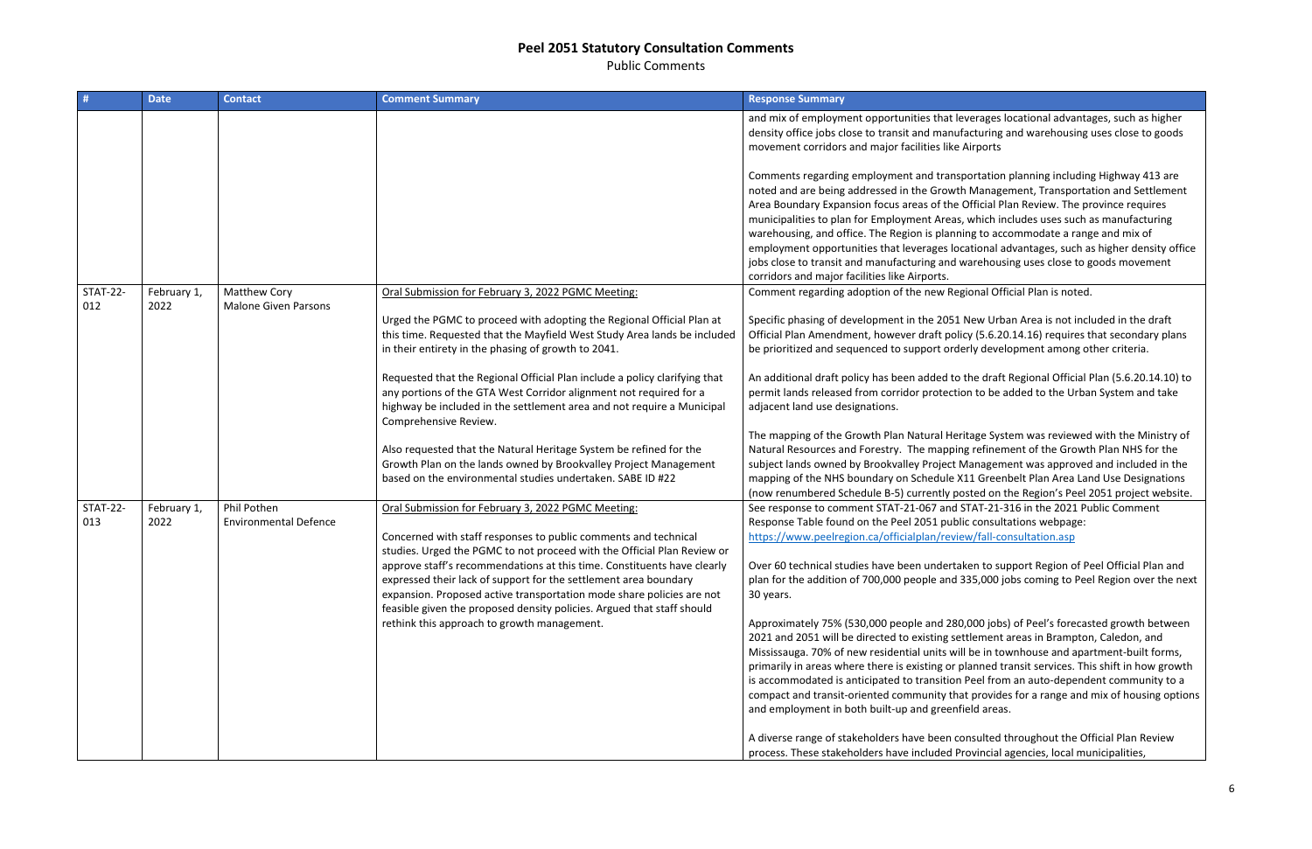Public Comments

| #                      | <b>Date</b>         | <b>Contact</b>                              | <b>Comment Summary</b>                                                                                                                                                                                                                                                                         | <b>Response Summary</b>                                                                                                                                                                                                                                                                                                                                                                                                                |
|------------------------|---------------------|---------------------------------------------|------------------------------------------------------------------------------------------------------------------------------------------------------------------------------------------------------------------------------------------------------------------------------------------------|----------------------------------------------------------------------------------------------------------------------------------------------------------------------------------------------------------------------------------------------------------------------------------------------------------------------------------------------------------------------------------------------------------------------------------------|
|                        |                     |                                             |                                                                                                                                                                                                                                                                                                | and mix of employment opportunities that le<br>density office jobs close to transit and manufa<br>movement corridors and major facilities like /                                                                                                                                                                                                                                                                                       |
| <b>STAT-22-</b>        |                     | Matthew Cory                                |                                                                                                                                                                                                                                                                                                | Comments regarding employment and transp<br>noted and are being addressed in the Growth<br>Area Boundary Expansion focus areas of the O<br>municipalities to plan for Employment Areas,<br>warehousing, and office. The Region is planni<br>employment opportunities that leverages loc<br>jobs close to transit and manufacturing and w<br>corridors and major facilities like Airports.<br>Comment regarding adoption of the new Reg |
| 012                    | February 1,<br>2022 | <b>Malone Given Parsons</b>                 | Oral Submission for February 3, 2022 PGMC Meeting:<br>Urged the PGMC to proceed with adopting the Regional Official Plan at<br>this time. Requested that the Mayfield West Study Area lands be included<br>in their entirety in the phasing of growth to 2041.                                 | Specific phasing of development in the 2051<br>Official Plan Amendment, however draft polio<br>be prioritized and sequenced to support orde                                                                                                                                                                                                                                                                                            |
|                        |                     |                                             | Requested that the Regional Official Plan include a policy clarifying that<br>any portions of the GTA West Corridor alignment not required for a<br>highway be included in the settlement area and not require a Municipal<br>Comprehensive Review.                                            | An additional draft policy has been added to<br>permit lands released from corridor protectic<br>adjacent land use designations.                                                                                                                                                                                                                                                                                                       |
|                        |                     |                                             | Also requested that the Natural Heritage System be refined for the<br>Growth Plan on the lands owned by Brookvalley Project Management<br>based on the environmental studies undertaken. SABE ID #22                                                                                           | The mapping of the Growth Plan Natural Heri<br>Natural Resources and Forestry. The mapping<br>subject lands owned by Brookvalley Project M<br>mapping of the NHS boundary on Schedule X<br>(now renumbered Schedule B-5) currently po                                                                                                                                                                                                  |
| <b>STAT-22-</b><br>013 | February 1,<br>2022 | Phil Pothen<br><b>Environmental Defence</b> | Oral Submission for February 3, 2022 PGMC Meeting:<br>Concerned with staff responses to public comments and technical<br>studies. Urged the PGMC to not proceed with the Official Plan Review or                                                                                               | See response to comment STAT-21-067 and S<br>Response Table found on the Peel 2051 publi<br>https://www.peelregion.ca/officialplan/revie                                                                                                                                                                                                                                                                                               |
|                        |                     |                                             | approve staff's recommendations at this time. Constituents have clearly<br>expressed their lack of support for the settlement area boundary<br>expansion. Proposed active transportation mode share policies are not<br>feasible given the proposed density policies. Argued that staff should | Over 60 technical studies have been undertal<br>plan for the addition of 700,000 people and 3<br>30 years.                                                                                                                                                                                                                                                                                                                             |
|                        |                     |                                             | rethink this approach to growth management.                                                                                                                                                                                                                                                    | Approximately 75% (530,000 people and 280<br>2021 and 2051 will be directed to existing set<br>Mississauga. 70% of new residential units will<br>primarily in areas where there is existing or p<br>is accommodated is anticipated to transition<br>compact and transit-oriented community tha                                                                                                                                         |
|                        |                     |                                             |                                                                                                                                                                                                                                                                                                | and employment in both built-up and greenfi<br>A diverse range of stakeholders have been co                                                                                                                                                                                                                                                                                                                                            |
|                        |                     |                                             |                                                                                                                                                                                                                                                                                                | process. These stakeholders have included Pr                                                                                                                                                                                                                                                                                                                                                                                           |

verages locational advantages, such as higher facturing and warehousing uses close to goods Airports

oortation planning including Highway 413 are **Management, Transportation and Settlement** Official Plan Review. The province requires which includes uses such as manufacturing ing to accommodate a range and mix of cational advantages, such as higher density office varehousing uses close to goods movement

tional Official Plan is noted.

New Urban Area is not included in the draft icy (5.6.20.14.16) requires that secondary plans erly development among other criteria.

the draft Regional Official Plan (5.6.20.14.10) to on to be added to the Urban System and take

itage System was reviewed with the Ministry of ng refinement of the Growth Plan NHS for the Management was approved and included in the 11 Greenbelt Plan Area Land Use Designations (now the Region's Peel 2051 project website. STAT-21-316 in the 2021 Public Comment ic consultations webpage: w/fall-consultation.asp

ken to support Region of Peel Official Plan and 335,000 jobs coming to Peel Region over the next

,000 jobs) of Peel's forecasted growth between ttlement areas in Brampton, Caledon, and I be in townhouse and apartment-built forms, lanned transit services. This shift in how growth Peel from an auto-dependent community to a at provides for a range and mix of housing options ield areas.

I an diverse throughout the Official Plan Review rovincial agencies, local municipalities,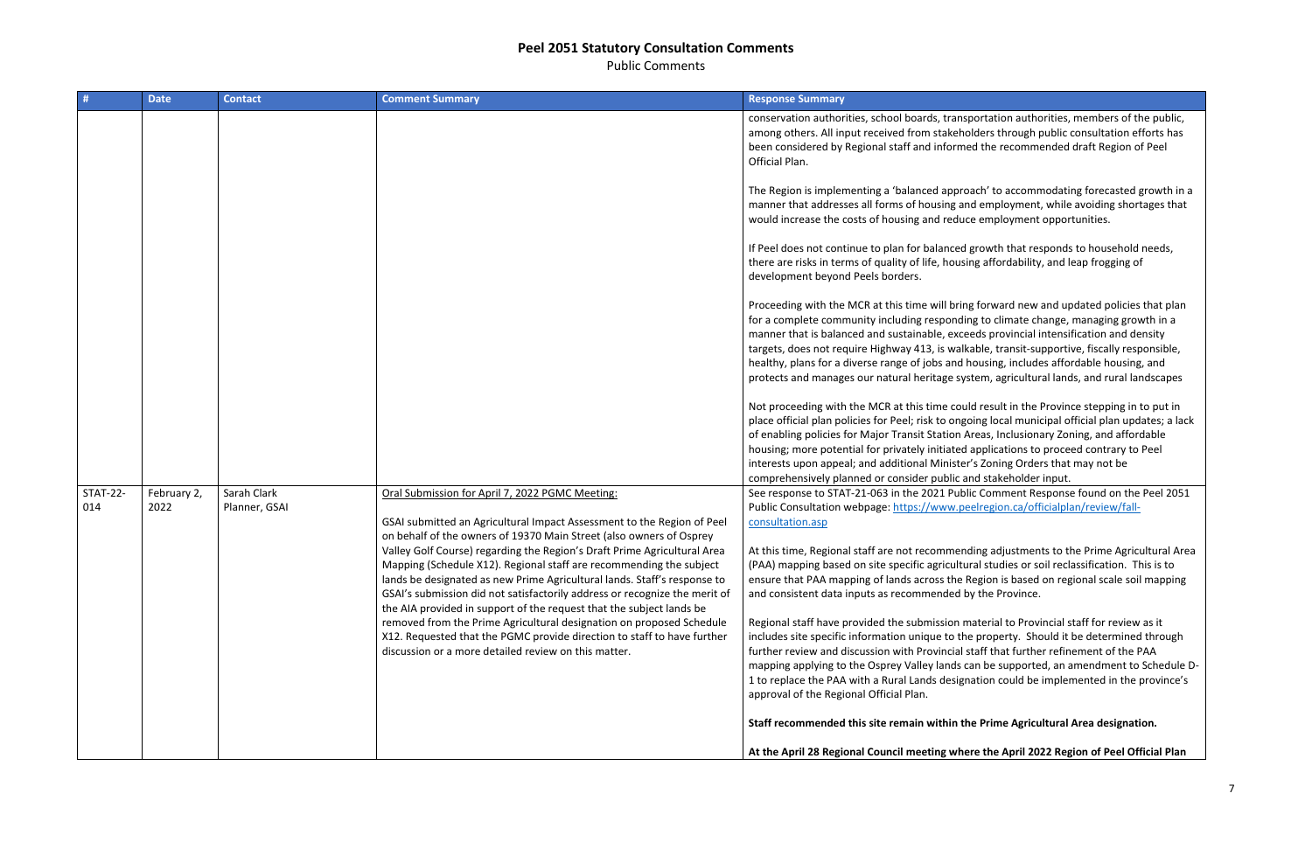Public Comments

|                        | <b>Date</b>         | <b>Contact</b>               | <b>Comment Summary</b>                                                                                                                                                                                                                                                                                                                                                            | <b>Response Summary</b>                                                                                                                                                                                                                                                                                    |
|------------------------|---------------------|------------------------------|-----------------------------------------------------------------------------------------------------------------------------------------------------------------------------------------------------------------------------------------------------------------------------------------------------------------------------------------------------------------------------------|------------------------------------------------------------------------------------------------------------------------------------------------------------------------------------------------------------------------------------------------------------------------------------------------------------|
|                        |                     |                              |                                                                                                                                                                                                                                                                                                                                                                                   | conservation authorities, school boards, trans<br>among others. All input received from stakeh<br>been considered by Regional staff and inform<br>Official Plan.                                                                                                                                           |
|                        |                     |                              |                                                                                                                                                                                                                                                                                                                                                                                   | The Region is implementing a 'balanced appro<br>manner that addresses all forms of housing a<br>would increase the costs of housing and redu-                                                                                                                                                              |
|                        |                     |                              |                                                                                                                                                                                                                                                                                                                                                                                   | If Peel does not continue to plan for balanced<br>there are risks in terms of quality of life, hous<br>development beyond Peels borders.                                                                                                                                                                   |
|                        |                     |                              |                                                                                                                                                                                                                                                                                                                                                                                   | Proceeding with the MCR at this time will brir<br>for a complete community including respondi<br>manner that is balanced and sustainable, exce<br>targets, does not require Highway 413, is wall<br>healthy, plans for a diverse range of jobs and<br>protects and manages our natural heritage sy         |
|                        |                     |                              |                                                                                                                                                                                                                                                                                                                                                                                   | Not proceeding with the MCR at this time cou<br>place official plan policies for Peel; risk to ong<br>of enabling policies for Major Transit Station /<br>housing; more potential for privately initiated<br>interests upon appeal; and additional Ministe<br>comprehensively planned or consider public a |
| <b>STAT-22-</b><br>014 | February 2,<br>2022 | Sarah Clark<br>Planner, GSAI | Oral Submission for April 7, 2022 PGMC Meeting:<br>GSAI submitted an Agricultural Impact Assessment to the Region of Peel<br>on behalf of the owners of 19370 Main Street (also owners of Osprey                                                                                                                                                                                  | See response to STAT-21-063 in the 2021 Pub<br>Public Consultation webpage: https://www.po<br>consultation.asp                                                                                                                                                                                             |
|                        |                     |                              | Valley Golf Course) regarding the Region's Draft Prime Agricultural Area<br>Mapping (Schedule X12). Regional staff are recommending the subject<br>lands be designated as new Prime Agricultural lands. Staff's response to<br>GSAI's submission did not satisfactorily address or recognize the merit of<br>the AIA provided in support of the request that the subject lands be | At this time, Regional staff are not recommen<br>(PAA) mapping based on site specific agricultu<br>ensure that PAA mapping of lands across the<br>and consistent data inputs as recommended I                                                                                                              |
|                        |                     |                              | removed from the Prime Agricultural designation on proposed Schedule<br>X12. Requested that the PGMC provide direction to staff to have further<br>discussion or a more detailed review on this matter.                                                                                                                                                                           | Regional staff have provided the submission r<br>includes site specific information unique to th<br>further review and discussion with Provincial<br>mapping applying to the Osprey Valley lands of<br>1 to replace the PAA with a Rural Lands design<br>approval of the Regional Official Plan.           |
|                        |                     |                              |                                                                                                                                                                                                                                                                                                                                                                                   | Staff recommended this site remain within t                                                                                                                                                                                                                                                                |
|                        |                     |                              |                                                                                                                                                                                                                                                                                                                                                                                   | At the April 28 Regional Council meeting who                                                                                                                                                                                                                                                               |

sportation authorities, members of the public, olders through public consultation efforts has ed the recommended draft Region of Peel

oach' to accommodating forecasted growth in a nd employment, while avoiding shortages that ce employment opportunities.

I growth that responds to household needs, ing affordability, and leap frogging of

ng forward new and updated policies that plan ing to climate change, managing growth in a eeds provincial intensification and density kable, transit-supportive, fiscally responsible, housing, includes affordable housing, and stem, agricultural lands, and rural landscapes

Intertupate in the Province stepping in to put in poing local municipal official plan updates; a lack Areas, Inclusionary Zoning, and affordable applications to proceed contrary to Peel er's Zoning Orders that may not be and stakeholder input.

Ilic Comment Response found on the Peel 2051 eelregion.ca/officialplan/review/fall-

At this adjustments to the Prime Agricultural Area ural studies or soil reclassification. This is to Region is based on regional scale soil mapping by the Province.

material to Provincial staff for review as it includes property. Should it be determined through staff that further refinement of the PAA can be supported, an amendment to Schedule Dnation could be implemented in the province's

**Shaff Prime Agricultural Area designation.** 

ere the April 2022 Region of Peel Official Plan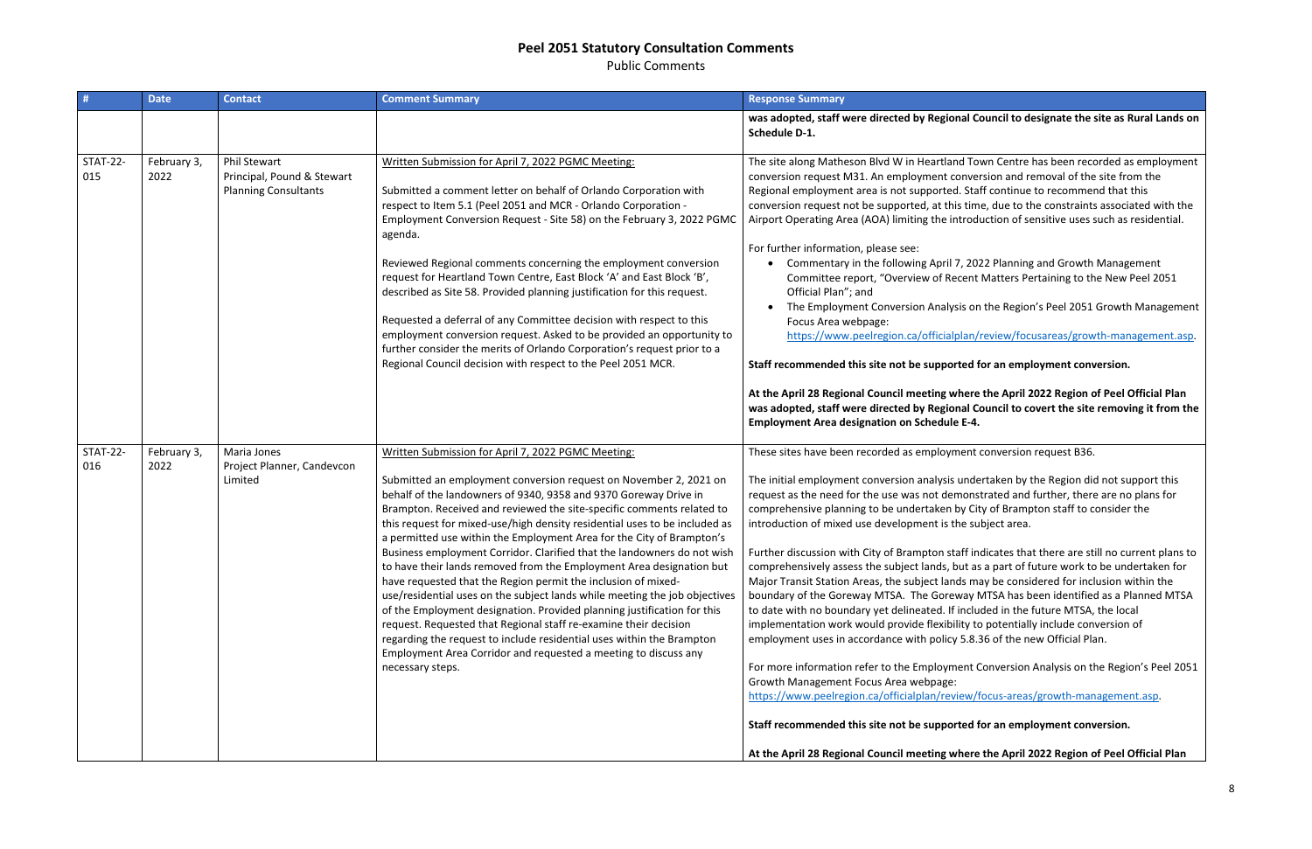Public Comments

|                        | <b>Date</b>         | <b>Contact</b>                                                                   | <b>Comment Summary</b>                                                                                                                                                                                                                                                                                                                                                                                                                                                                                                                                                                                                                                                                                                                                                                                                                                                                                                                                                                                                                       | <b>Response Summary</b>                                                                                                                                                                                                                                                                                                                                                                                                                                                                                                                                                                                                                                                                                                                                                                                                                                                                 |
|------------------------|---------------------|----------------------------------------------------------------------------------|----------------------------------------------------------------------------------------------------------------------------------------------------------------------------------------------------------------------------------------------------------------------------------------------------------------------------------------------------------------------------------------------------------------------------------------------------------------------------------------------------------------------------------------------------------------------------------------------------------------------------------------------------------------------------------------------------------------------------------------------------------------------------------------------------------------------------------------------------------------------------------------------------------------------------------------------------------------------------------------------------------------------------------------------|-----------------------------------------------------------------------------------------------------------------------------------------------------------------------------------------------------------------------------------------------------------------------------------------------------------------------------------------------------------------------------------------------------------------------------------------------------------------------------------------------------------------------------------------------------------------------------------------------------------------------------------------------------------------------------------------------------------------------------------------------------------------------------------------------------------------------------------------------------------------------------------------|
|                        |                     |                                                                                  |                                                                                                                                                                                                                                                                                                                                                                                                                                                                                                                                                                                                                                                                                                                                                                                                                                                                                                                                                                                                                                              | was adopted, staff were directed by Regional Co<br>Schedule D-1.                                                                                                                                                                                                                                                                                                                                                                                                                                                                                                                                                                                                                                                                                                                                                                                                                        |
| <b>STAT-22-</b><br>015 | February 3,<br>2022 | <b>Phil Stewart</b><br>Principal, Pound & Stewart<br><b>Planning Consultants</b> | Written Submission for April 7, 2022 PGMC Meeting:<br>Submitted a comment letter on behalf of Orlando Corporation with<br>respect to Item 5.1 (Peel 2051 and MCR - Orlando Corporation -<br>Employment Conversion Request - Site 58) on the February 3, 2022 PGMC<br>agenda.<br>Reviewed Regional comments concerning the employment conversion<br>request for Heartland Town Centre, East Block 'A' and East Block 'B',<br>described as Site 58. Provided planning justification for this request.<br>Requested a deferral of any Committee decision with respect to this<br>employment conversion request. Asked to be provided an opportunity to<br>further consider the merits of Orlando Corporation's request prior to a<br>Regional Council decision with respect to the Peel 2051 MCR.                                                                                                                                                                                                                                               | The site along Matheson Blvd W in Heartland Tov<br>conversion request M31. An employment conver<br>Regional employment area is not supported. Staf<br>conversion request not be supported, at this time<br>Airport Operating Area (AOA) limiting the introdu<br>For further information, please see:<br>Commentary in the following April 7, 202<br>Committee report, "Overview of Recent I<br>Official Plan"; and<br>The Employment Conversion Analysis on<br>Focus Area webpage:<br>https://www.peelregion.ca/officialplan/r<br>Staff recommended this site not be supported fo<br>At the April 28 Regional Council meeting where<br>was adopted, staff were directed by Regional Co<br><b>Employment Area designation on Schedule E-4.</b>                                                                                                                                           |
| <b>STAT-22-</b><br>016 | February 3,<br>2022 | Maria Jones<br>Project Planner, Candevcon<br>Limited                             | Written Submission for April 7, 2022 PGMC Meeting:<br>Submitted an employment conversion request on November 2, 2021 on<br>behalf of the landowners of 9340, 9358 and 9370 Goreway Drive in<br>Brampton. Received and reviewed the site-specific comments related to<br>this request for mixed-use/high density residential uses to be included as<br>a permitted use within the Employment Area for the City of Brampton's<br>Business employment Corridor. Clarified that the landowners do not wish<br>to have their lands removed from the Employment Area designation but<br>have requested that the Region permit the inclusion of mixed-<br>use/residential uses on the subject lands while meeting the job objectives<br>of the Employment designation. Provided planning justification for this<br>request. Requested that Regional staff re-examine their decision<br>regarding the request to include residential uses within the Brampton<br>Employment Area Corridor and requested a meeting to discuss any<br>necessary steps. | These sites have been recorded as employment o<br>The initial employment conversion analysis unde<br>request as the need for the use was not demonst<br>comprehensive planning to be undertaken by Cit<br>introduction of mixed use development is the sul<br>Further discussion with City of Brampton staff in<br>comprehensively assess the subject lands, but as<br>Major Transit Station Areas, the subject lands ma<br>boundary of the Goreway MTSA. The Goreway N<br>to date with no boundary yet delineated. If inclue<br>implementation work would provide flexibility to<br>employment uses in accordance with policy 5.8.3<br>For more information refer to the Employment C<br>Growth Management Focus Area webpage:<br>https://www.peelregion.ca/officialplan/review/f<br>Staff recommended this site not be supported fo<br>At the April 28 Regional Council meeting where |

#### **al Council to designate the site as Rural Lands on**

Town Centre has been recorded as employment nversion and removal of the site from the **Staff continue to recommend that this** time, due to the constraints associated with the roduction of sensitive uses such as residential.

, 2022 Planning and Growth Management cent Matters Pertaining to the New Peel 2051

on the Region's Peel 2051 Growth Management

lan/review/focusareas/growth-management.asp.

#### **Statf for an employment conversion.**

**At the April 2022 Region of Peel Official Plan** al Council to covert the site removing it from the

ent conversion request B36.

Indertaken by the Region did not support this request as for the need are not plans for anonstrated and further, there are no plans for city of Brampton staff to consider the e subject area.

ff indicates that there are still no current plans to at as a part of future work to be undertaken for may be considered for inclusion within the ray MTSA has been identified as a Planned MTSA ncluded in the future MTSA, the local ty to potentially include conversion of 6.8.36 of the new Official Plan.

ent Conversion Analysis on the Region's Peel 2051

https://www.peelregion.com/focus-areas/growth-management.asp.

**Examployment conversion.** 

**At the April 2022 Region of Peel Official Plan**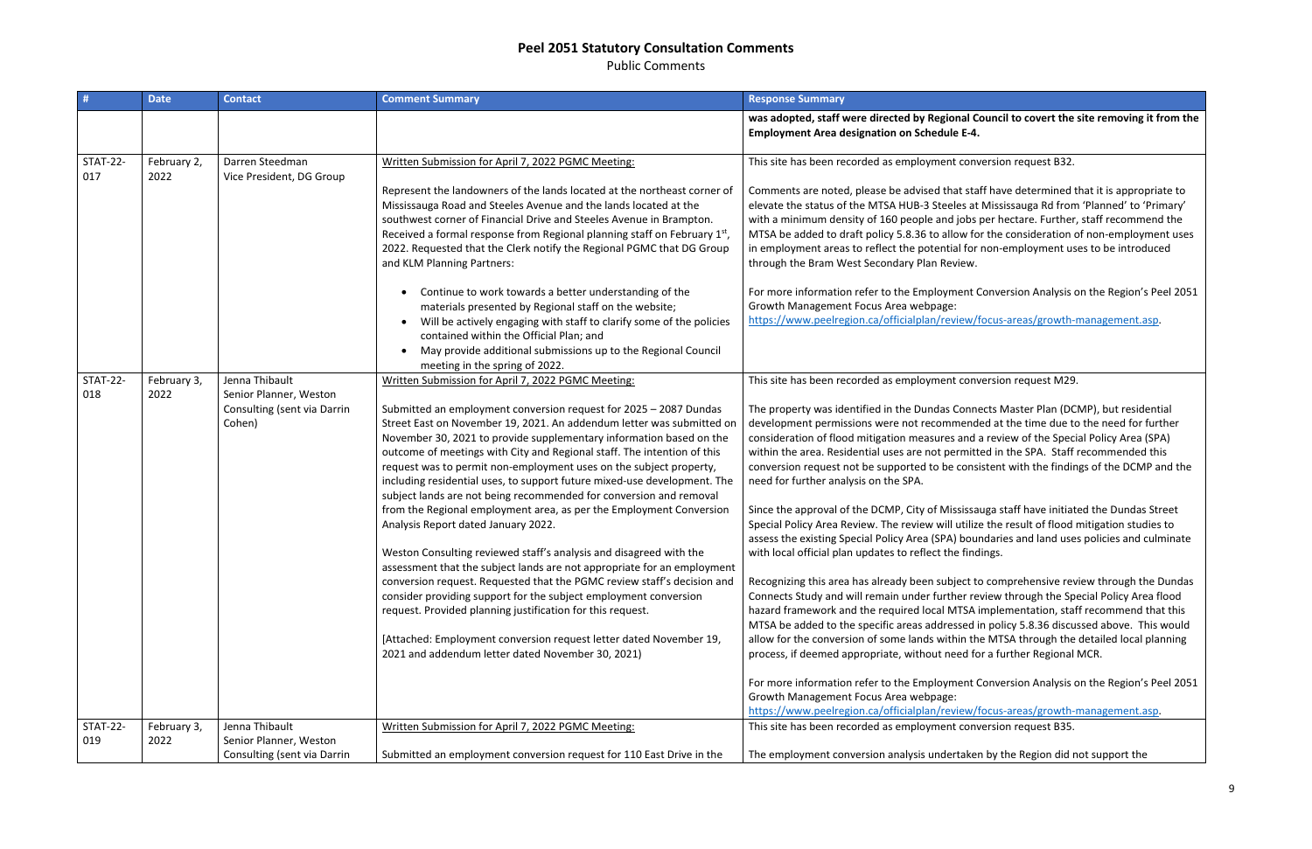Public Comments

| #                      | <b>Date</b>         | <b>Contact</b>                                        | <b>Comment Summary</b>                                                                                                                                                                                                                                                                                                                                                                                                                                                                                                                                                                                                                                                                                                                                                                                                                                                                                                                                                                                                                                                                                                      | <b>Response Summary</b>                                                                                                                                                                                                                                                                                                                                                                                                                                                                                                                                                                                                                                                                                                                                                                                                                                                                                                                            |
|------------------------|---------------------|-------------------------------------------------------|-----------------------------------------------------------------------------------------------------------------------------------------------------------------------------------------------------------------------------------------------------------------------------------------------------------------------------------------------------------------------------------------------------------------------------------------------------------------------------------------------------------------------------------------------------------------------------------------------------------------------------------------------------------------------------------------------------------------------------------------------------------------------------------------------------------------------------------------------------------------------------------------------------------------------------------------------------------------------------------------------------------------------------------------------------------------------------------------------------------------------------|----------------------------------------------------------------------------------------------------------------------------------------------------------------------------------------------------------------------------------------------------------------------------------------------------------------------------------------------------------------------------------------------------------------------------------------------------------------------------------------------------------------------------------------------------------------------------------------------------------------------------------------------------------------------------------------------------------------------------------------------------------------------------------------------------------------------------------------------------------------------------------------------------------------------------------------------------|
|                        |                     |                                                       |                                                                                                                                                                                                                                                                                                                                                                                                                                                                                                                                                                                                                                                                                                                                                                                                                                                                                                                                                                                                                                                                                                                             | was adopted, staff were directed by Regional Co<br><b>Employment Area designation on Schedule E-4.</b>                                                                                                                                                                                                                                                                                                                                                                                                                                                                                                                                                                                                                                                                                                                                                                                                                                             |
| <b>STAT-22-</b>        | February 2,         | Darren Steedman                                       | Written Submission for April 7, 2022 PGMC Meeting:                                                                                                                                                                                                                                                                                                                                                                                                                                                                                                                                                                                                                                                                                                                                                                                                                                                                                                                                                                                                                                                                          | This site has been recorded as employment conv                                                                                                                                                                                                                                                                                                                                                                                                                                                                                                                                                                                                                                                                                                                                                                                                                                                                                                     |
| 017                    | 2022                | Vice President, DG Group                              | Represent the landowners of the lands located at the northeast corner of<br>Mississauga Road and Steeles Avenue and the lands located at the<br>southwest corner of Financial Drive and Steeles Avenue in Brampton.<br>Received a formal response from Regional planning staff on February 1st,<br>2022. Requested that the Clerk notify the Regional PGMC that DG Group<br>and KLM Planning Partners:                                                                                                                                                                                                                                                                                                                                                                                                                                                                                                                                                                                                                                                                                                                      | Comments are noted, please be advised that staf<br>elevate the status of the MTSA HUB-3 Steeles at<br>with a minimum density of 160 people and jobs p<br>MTSA be added to draft policy 5.8.36 to allow for<br>in employment areas to reflect the potential for<br>through the Bram West Secondary Plan Review.                                                                                                                                                                                                                                                                                                                                                                                                                                                                                                                                                                                                                                     |
|                        |                     |                                                       | Continue to work towards a better understanding of the<br>materials presented by Regional staff on the website;<br>Will be actively engaging with staff to clarify some of the policies<br>contained within the Official Plan; and<br>May provide additional submissions up to the Regional Council<br>meeting in the spring of 2022.                                                                                                                                                                                                                                                                                                                                                                                                                                                                                                                                                                                                                                                                                                                                                                                       | For more information refer to the Employment C<br>Growth Management Focus Area webpage:<br>https://www.peelregion.ca/officialplan/review/f                                                                                                                                                                                                                                                                                                                                                                                                                                                                                                                                                                                                                                                                                                                                                                                                         |
| <b>STAT-22-</b><br>018 | February 3,<br>2022 | Jenna Thibault<br>Senior Planner, Weston              | Written Submission for April 7, 2022 PGMC Meeting:                                                                                                                                                                                                                                                                                                                                                                                                                                                                                                                                                                                                                                                                                                                                                                                                                                                                                                                                                                                                                                                                          | This site has been recorded as employment conv                                                                                                                                                                                                                                                                                                                                                                                                                                                                                                                                                                                                                                                                                                                                                                                                                                                                                                     |
|                        |                     | Consulting (sent via Darrin<br>Cohen)                 | Submitted an employment conversion request for 2025 - 2087 Dundas<br>Street East on November 19, 2021. An addendum letter was submitted on<br>November 30, 2021 to provide supplementary information based on the<br>outcome of meetings with City and Regional staff. The intention of this<br>request was to permit non-employment uses on the subject property,<br>including residential uses, to support future mixed-use development. The<br>subject lands are not being recommended for conversion and removal<br>from the Regional employment area, as per the Employment Conversion<br>Analysis Report dated January 2022.<br>Weston Consulting reviewed staff's analysis and disagreed with the<br>assessment that the subject lands are not appropriate for an employment<br>conversion request. Requested that the PGMC review staff's decision and<br>consider providing support for the subject employment conversion<br>request. Provided planning justification for this request.<br>[Attached: Employment conversion request letter dated November 19,<br>2021 and addendum letter dated November 30, 2021) | The property was identified in the Dundas Conne<br>development permissions were not recommende<br>consideration of flood mitigation measures and a<br>within the area. Residential uses are not permitte<br>conversion request not be supported to be consi-<br>need for further analysis on the SPA.<br>Since the approval of the DCMP, City of Mississau<br>Special Policy Area Review. The review will utilize<br>assess the existing Special Policy Area (SPA) bour<br>with local official plan updates to reflect the find<br>Recognizing this area has already been subject to<br>Connects Study and will remain under further rev<br>hazard framework and the required local MTSA is<br>MTSA be added to the specific areas addressed in<br>allow for the conversion of some lands within the<br>process, if deemed appropriate, without need fo<br>For more information refer to the Employment C<br>Growth Management Focus Area webpage: |
| <b>STAT-22-</b>        | February 3,         | Jenna Thibault                                        | Written Submission for April 7, 2022 PGMC Meeting:                                                                                                                                                                                                                                                                                                                                                                                                                                                                                                                                                                                                                                                                                                                                                                                                                                                                                                                                                                                                                                                                          | https://www.peelregion.ca/officialplan/review/f<br>This site has been recorded as employment conv                                                                                                                                                                                                                                                                                                                                                                                                                                                                                                                                                                                                                                                                                                                                                                                                                                                  |
| 019                    | 2022                | Senior Planner, Weston<br>Consulting (sent via Darrin | Submitted an employment conversion request for 110 East Drive in the                                                                                                                                                                                                                                                                                                                                                                                                                                                                                                                                                                                                                                                                                                                                                                                                                                                                                                                                                                                                                                                        | The employment conversion analysis undertaken                                                                                                                                                                                                                                                                                                                                                                                                                                                                                                                                                                                                                                                                                                                                                                                                                                                                                                      |

al Council to covert the site removing it from the

conversion request B32.

comate it staff have determined that it is appropriate to s at Mississauga Rd from 'Planned' to 'Primary' obs per hectare. Further, staff recommend the w for the consideration of non-employment uses for non-employment uses to be introduced

ent Conversion Analysis on the Region's Peel 2051

https://www.pew.peelrecorrect.com/focus-areas/growth-management.asp.

conversion request M29.

onnects Master Plan (DCMP), but residential ended at the time due to the need for further and a review of the Special Policy Area (SPA) mitted in the SPA. Staff recommended this consistent with the findings of the DCMP and the

issauga staff have initiated the Dundas Street tilize the result of flood mitigation studies to boundaries and land uses policies and culminate findings.

ct to comprehensive review through the Dundas Pr review through the Special Policy Area flood SA implementation, staff recommend that this ed in policy 5.8.36 discussed above. This would n the MTSA through the detailed local planning d for a further Regional MCR.

ent Conversion Analysis on the Region's Peel 2051

https://www.pew/focus-areas/growth-management.asp conversion request B35.

Iken by the Region did not support the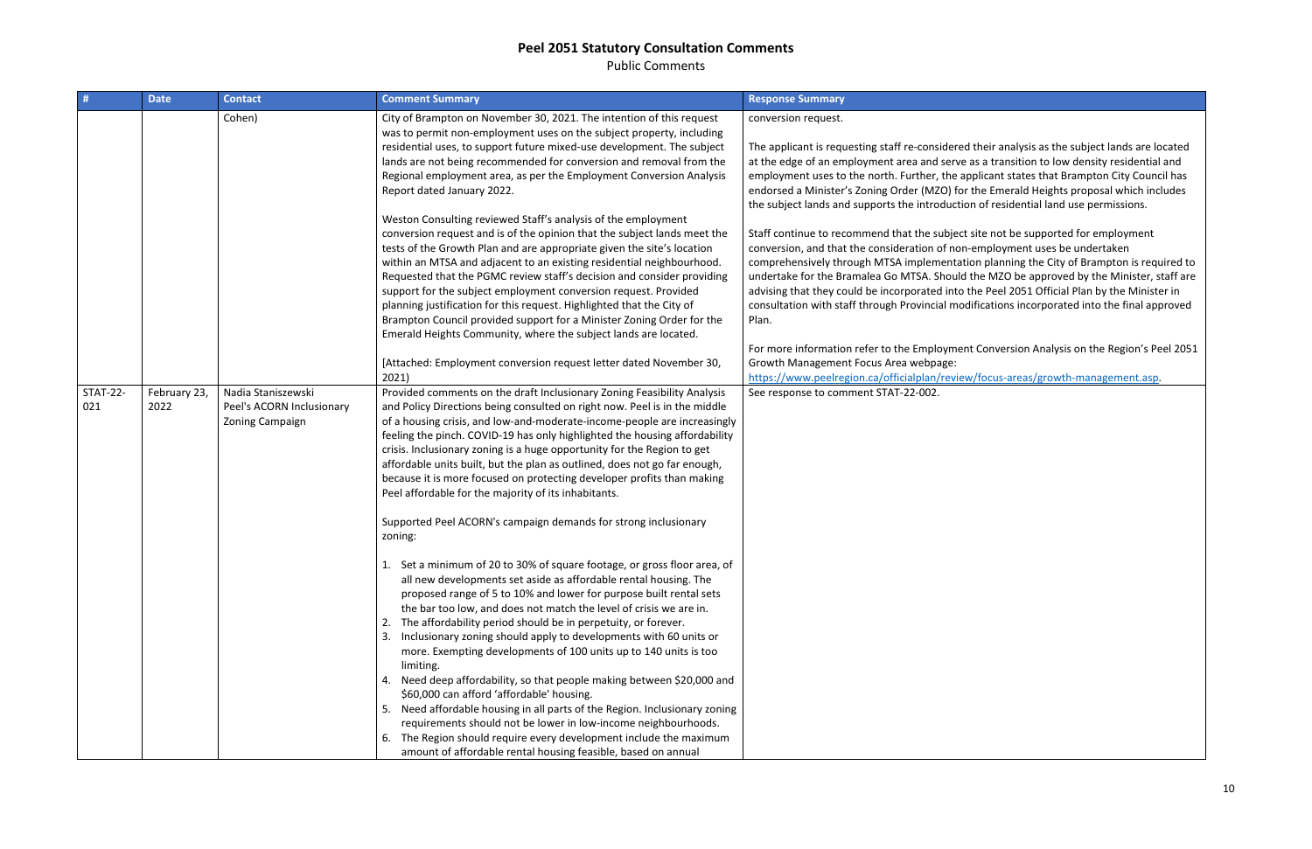Public Comments

| #                      | <b>Date</b>          | <b>Contact</b>                                                     | <b>Comment Summary</b>                                                                                                                                                                                                                                                                                                                                                                                                                                                                                                                                                                                                                                                                                                                                                                                                                                                                                                                                                                                                                                                                                                                                                                                                                                                                                                                                                                                                                                                                                                                                                                                                        | <b>Response Summary</b>                                                                                                                                                                                                                                                                                                                                                                                                                                                                                                                                                                                                                                                                                          |
|------------------------|----------------------|--------------------------------------------------------------------|-------------------------------------------------------------------------------------------------------------------------------------------------------------------------------------------------------------------------------------------------------------------------------------------------------------------------------------------------------------------------------------------------------------------------------------------------------------------------------------------------------------------------------------------------------------------------------------------------------------------------------------------------------------------------------------------------------------------------------------------------------------------------------------------------------------------------------------------------------------------------------------------------------------------------------------------------------------------------------------------------------------------------------------------------------------------------------------------------------------------------------------------------------------------------------------------------------------------------------------------------------------------------------------------------------------------------------------------------------------------------------------------------------------------------------------------------------------------------------------------------------------------------------------------------------------------------------------------------------------------------------|------------------------------------------------------------------------------------------------------------------------------------------------------------------------------------------------------------------------------------------------------------------------------------------------------------------------------------------------------------------------------------------------------------------------------------------------------------------------------------------------------------------------------------------------------------------------------------------------------------------------------------------------------------------------------------------------------------------|
|                        |                      | Cohen)                                                             | City of Brampton on November 30, 2021. The intention of this request<br>was to permit non-employment uses on the subject property, including<br>residential uses, to support future mixed-use development. The subject<br>lands are not being recommended for conversion and removal from the<br>Regional employment area, as per the Employment Conversion Analysis<br>Report dated January 2022.<br>Weston Consulting reviewed Staff's analysis of the employment<br>conversion request and is of the opinion that the subject lands meet the<br>tests of the Growth Plan and are appropriate given the site's location<br>within an MTSA and adjacent to an existing residential neighbourhood.<br>Requested that the PGMC review staff's decision and consider providing<br>support for the subject employment conversion request. Provided<br>planning justification for this request. Highlighted that the City of<br>Brampton Council provided support for a Minister Zoning Order for the<br>Emerald Heights Community, where the subject lands are located.<br>[Attached: Employment conversion request letter dated November 30,<br>2021)                                                                                                                                                                                                                                                                                                                                                                                                                                                                           | conversion request.<br>The applicant is requesting staff re-considere<br>at the edge of an employment area and serve<br>employment uses to the north. Further, the a<br>endorsed a Minister's Zoning Order (MZO) fo<br>the subject lands and supports the introducti<br>Staff continue to recommend that the subjec<br>conversion, and that the consideration of nor<br>comprehensively through MTSA implementat<br>undertake for the Bramalea Go MTSA. Should<br>advising that they could be incorporated into<br>consultation with staff through Provincial mo<br>Plan.<br>For more information refer to the Employme<br>Growth Management Focus Area webpage:<br>https://www.peelregion.ca/officialplan/revie |
| <b>STAT-22-</b><br>021 | February 23,<br>2022 | Nadia Staniszewski<br>Peel's ACORN Inclusionary<br>Zoning Campaign | Provided comments on the draft Inclusionary Zoning Feasibility Analysis<br>and Policy Directions being consulted on right now. Peel is in the middle<br>of a housing crisis, and low-and-moderate-income-people are increasingly<br>feeling the pinch. COVID-19 has only highlighted the housing affordability<br>crisis. Inclusionary zoning is a huge opportunity for the Region to get<br>affordable units built, but the plan as outlined, does not go far enough,<br>because it is more focused on protecting developer profits than making<br>Peel affordable for the majority of its inhabitants.<br>Supported Peel ACORN's campaign demands for strong inclusionary<br>zoning:<br>1. Set a minimum of 20 to 30% of square footage, or gross floor area, of<br>all new developments set aside as affordable rental housing. The<br>proposed range of 5 to 10% and lower for purpose built rental sets<br>the bar too low, and does not match the level of crisis we are in.<br>2. The affordability period should be in perpetuity, or forever.<br>3. Inclusionary zoning should apply to developments with 60 units or<br>more. Exempting developments of 100 units up to 140 units is too<br>limiting.<br>4. Need deep affordability, so that people making between \$20,000 and<br>\$60,000 can afford 'affordable' housing.<br>5. Need affordable housing in all parts of the Region. Inclusionary zoning<br>requirements should not be lower in low-income neighbourhoods.<br>6. The Region should require every development include the maximum<br>amount of affordable rental housing feasible, based on annual | See response to comment STAT-22-002.                                                                                                                                                                                                                                                                                                                                                                                                                                                                                                                                                                                                                                                                             |

ed their analysis as the subject lands are located e as a transition to low density residential and applicant states that Brampton City Council has or the Emerald Heights proposal which includes tion of residential land use permissions.

ct site not be supported for employment n-employment uses be undertaken ation planning the City of Brampton is required to ld the MZO be approved by the Minister, staff are the Peel 2051 Official Plan by the Minister in odifications incorporated into the final approved

ent Conversion Analysis on the Region's Peel 2051

ew/focus-areas/growth-management.asp.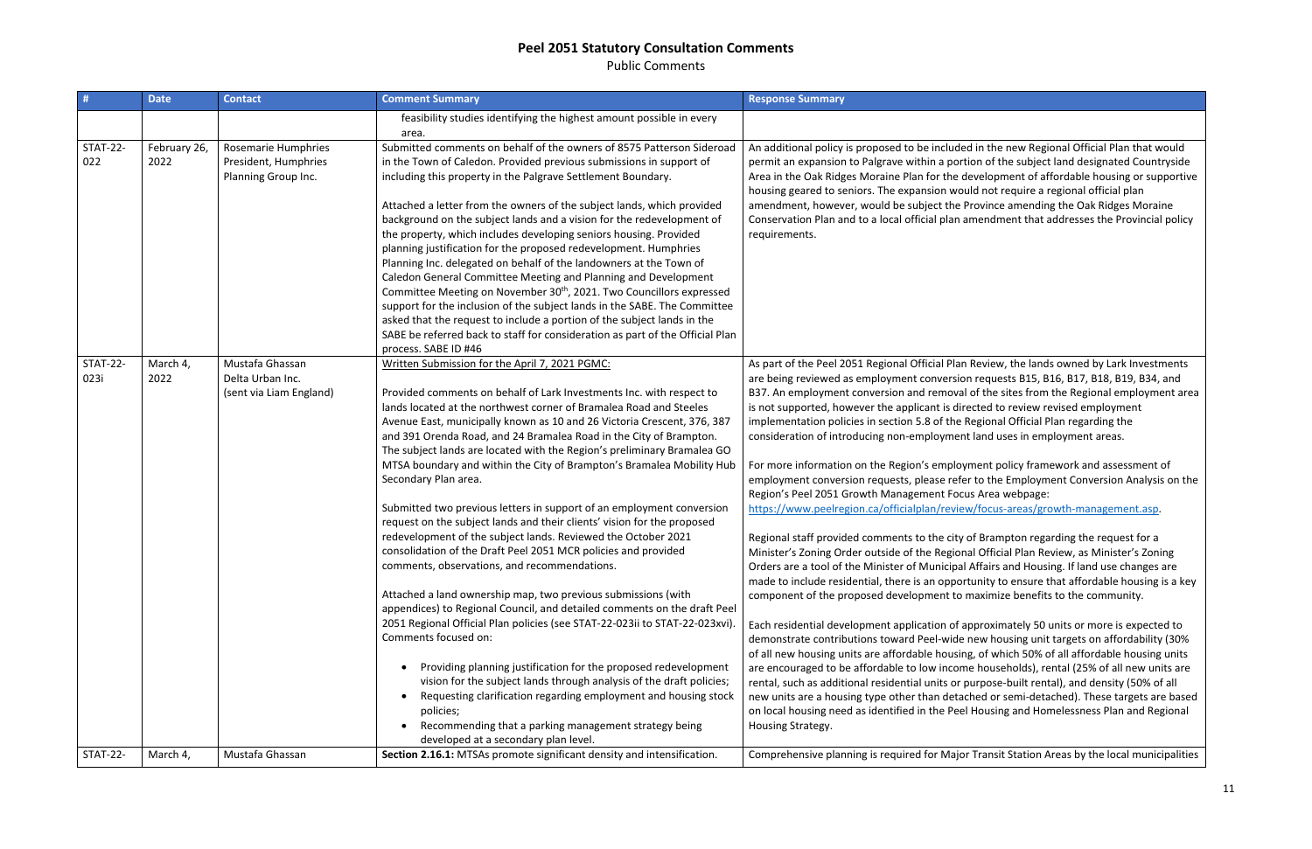Public Comments

| #                       | <b>Date</b>          | <b>Contact</b>                                                     | <b>Comment Summary</b>                                                                                                                                                                                                                                                                                                                                                                                                                                                                                                                                                                                                                                                                                                                                                                                                                                                                                                                                                                                                                                                                                                                                                                                                                                                                                                                                                                                                                                                                  | <b>Response Summary</b>                                                                                                                                                                                                                                                                                                                                                                                                                                                                                                                                                                                                                                                                                                                                                                                                                                                                                                                                                                                                                                                                                          |
|-------------------------|----------------------|--------------------------------------------------------------------|-----------------------------------------------------------------------------------------------------------------------------------------------------------------------------------------------------------------------------------------------------------------------------------------------------------------------------------------------------------------------------------------------------------------------------------------------------------------------------------------------------------------------------------------------------------------------------------------------------------------------------------------------------------------------------------------------------------------------------------------------------------------------------------------------------------------------------------------------------------------------------------------------------------------------------------------------------------------------------------------------------------------------------------------------------------------------------------------------------------------------------------------------------------------------------------------------------------------------------------------------------------------------------------------------------------------------------------------------------------------------------------------------------------------------------------------------------------------------------------------|------------------------------------------------------------------------------------------------------------------------------------------------------------------------------------------------------------------------------------------------------------------------------------------------------------------------------------------------------------------------------------------------------------------------------------------------------------------------------------------------------------------------------------------------------------------------------------------------------------------------------------------------------------------------------------------------------------------------------------------------------------------------------------------------------------------------------------------------------------------------------------------------------------------------------------------------------------------------------------------------------------------------------------------------------------------------------------------------------------------|
|                         |                      |                                                                    | feasibility studies identifying the highest amount possible in every<br>area.                                                                                                                                                                                                                                                                                                                                                                                                                                                                                                                                                                                                                                                                                                                                                                                                                                                                                                                                                                                                                                                                                                                                                                                                                                                                                                                                                                                                           |                                                                                                                                                                                                                                                                                                                                                                                                                                                                                                                                                                                                                                                                                                                                                                                                                                                                                                                                                                                                                                                                                                                  |
| <b>STAT-22-</b><br>022  | February 26,<br>2022 | Rosemarie Humphries<br>President, Humphries<br>Planning Group Inc. | Submitted comments on behalf of the owners of 8575 Patterson Sideroad<br>in the Town of Caledon. Provided previous submissions in support of<br>including this property in the Palgrave Settlement Boundary.<br>Attached a letter from the owners of the subject lands, which provided<br>background on the subject lands and a vision for the redevelopment of<br>the property, which includes developing seniors housing. Provided<br>planning justification for the proposed redevelopment. Humphries<br>Planning Inc. delegated on behalf of the landowners at the Town of<br>Caledon General Committee Meeting and Planning and Development<br>Committee Meeting on November 30 <sup>th</sup> , 2021. Two Councillors expressed<br>support for the inclusion of the subject lands in the SABE. The Committee<br>asked that the request to include a portion of the subject lands in the<br>SABE be referred back to staff for consideration as part of the Official Plan<br>process. SABE ID #46                                                                                                                                                                                                                                                                                                                                                                                                                                                                                   | An additional policy is proposed to be include<br>permit an expansion to Palgrave within a port<br>Area in the Oak Ridges Moraine Plan for the o<br>housing geared to seniors. The expansion wo<br>amendment, however, would be subject the<br>Conservation Plan and to a local official plan a<br>requirements.                                                                                                                                                                                                                                                                                                                                                                                                                                                                                                                                                                                                                                                                                                                                                                                                 |
| <b>STAT-22-</b><br>023i | March 4,<br>2022     | Mustafa Ghassan<br>Delta Urban Inc.<br>(sent via Liam England)     | Written Submission for the April 7, 2021 PGMC:<br>Provided comments on behalf of Lark Investments Inc. with respect to<br>lands located at the northwest corner of Bramalea Road and Steeles<br>Avenue East, municipally known as 10 and 26 Victoria Crescent, 376, 387<br>and 391 Orenda Road, and 24 Bramalea Road in the City of Brampton.<br>The subject lands are located with the Region's preliminary Bramalea GO<br>MTSA boundary and within the City of Brampton's Bramalea Mobility Hub<br>Secondary Plan area.<br>Submitted two previous letters in support of an employment conversion<br>request on the subject lands and their clients' vision for the proposed<br>redevelopment of the subject lands. Reviewed the October 2021<br>consolidation of the Draft Peel 2051 MCR policies and provided<br>comments, observations, and recommendations.<br>Attached a land ownership map, two previous submissions (with<br>appendices) to Regional Council, and detailed comments on the draft Peel<br>2051 Regional Official Plan policies (see STAT-22-023ii to STAT-22-023xvi).<br>Comments focused on:<br>Providing planning justification for the proposed redevelopment<br>$\bullet$<br>vision for the subject lands through analysis of the draft policies;<br>Requesting clarification regarding employment and housing stock<br>$\bullet$<br>policies;<br>Recommending that a parking management strategy being<br>$\bullet$<br>developed at a secondary plan level. | As part of the Peel 2051 Regional Official Plar<br>are being reviewed as employment conversio<br>B37. An employment conversion and remova<br>is not supported, however the applicant is dir<br>implementation policies in section 5.8 of the<br>consideration of introducing non-employmen<br>For more information on the Region's employ<br>employment conversion requests, please refe<br>Region's Peel 2051 Growth Management Foc<br>https://www.peelregion.ca/officialplan/revie<br>Regional staff provided comments to the city<br>Minister's Zoning Order outside of the Regior<br>Orders are a tool of the Minister of Municipal<br>made to include residential, there is an oppor<br>component of the proposed development to<br>Each residential development application of a<br>demonstrate contributions toward Peel-wide<br>of all new housing units are affordable housir<br>are encouraged to be affordable to low incon<br>rental, such as additional residential units or<br>new units are a housing type other than deta<br>on local housing need as identified in the Pee<br>Housing Strategy. |
| <b>STAT-22-</b>         | March 4,             | Mustafa Ghassan                                                    | Section 2.16.1: MTSAs promote significant density and intensification.                                                                                                                                                                                                                                                                                                                                                                                                                                                                                                                                                                                                                                                                                                                                                                                                                                                                                                                                                                                                                                                                                                                                                                                                                                                                                                                                                                                                                  | Comprehensive planning is required for Majo                                                                                                                                                                                                                                                                                                                                                                                                                                                                                                                                                                                                                                                                                                                                                                                                                                                                                                                                                                                                                                                                      |

ed in the new Regional Official Plan that would tion of the subject land designated Countryside development of affordable housing or supportive ould not require a regional official plan Province amending the Oak Ridges Moraine amendment that addresses the Provincial policy

Review, the lands owned by Lark Investments on requests B15, B16, B17, B18, B19, B34, and I of the sites from the Regional employment area rected to review revised employment Regional Official Plan regarding the nt land uses in employment areas.

yment policy framework and assessment of er to the Employment Conversion Analysis on the tus Area webpage:

w/focus-areas/growth-management.asp.

of Brampton regarding the request for a nal Official Plan Review, as Minister's Zoning Affairs and Housing. If land use changes are rtunity to ensure that affordable housing is a key maximize benefits to the community.

approximately 50 units or more is expected to new housing unit targets on affordability (30% ng, of which 50% of all affordable housing units ne households), rental (25% of all new units are purpose-built rental), and density (50% of all ached or semi-detached). These targets are based el Housing and Homelessness Plan and Regional

or Transit Station Areas by the local municipalities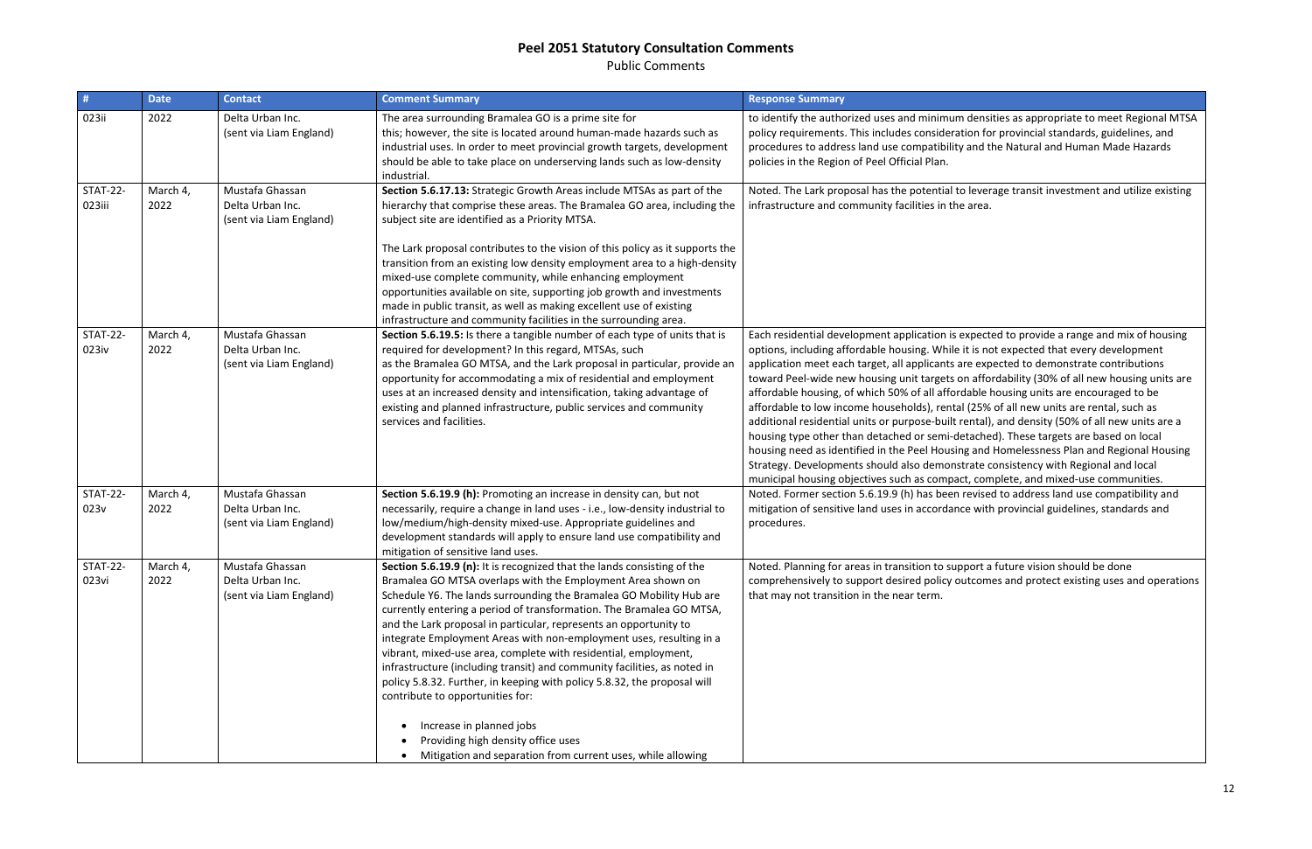Public Comments

| $\#$                      | <b>Date</b>      | <b>Contact</b>                                                 | <b>Comment Summary</b>                                                                                                                                                                                                                                                                                                                                                                                                                                                                                                                                                                                                                                                                                                                                                                                                                         | <b>Response Summary</b>                                                                                                                                                                                                                                                                                                                                                                                                                                                                                                                          |
|---------------------------|------------------|----------------------------------------------------------------|------------------------------------------------------------------------------------------------------------------------------------------------------------------------------------------------------------------------------------------------------------------------------------------------------------------------------------------------------------------------------------------------------------------------------------------------------------------------------------------------------------------------------------------------------------------------------------------------------------------------------------------------------------------------------------------------------------------------------------------------------------------------------------------------------------------------------------------------|--------------------------------------------------------------------------------------------------------------------------------------------------------------------------------------------------------------------------------------------------------------------------------------------------------------------------------------------------------------------------------------------------------------------------------------------------------------------------------------------------------------------------------------------------|
| 023ii                     | 2022             | Delta Urban Inc.<br>(sent via Liam England)                    | The area surrounding Bramalea GO is a prime site for<br>this; however, the site is located around human-made hazards such as<br>industrial uses. In order to meet provincial growth targets, development<br>should be able to take place on underserving lands such as low-density<br>industrial.                                                                                                                                                                                                                                                                                                                                                                                                                                                                                                                                              | to identify the authorized uses and minimum<br>policy requirements. This includes considerat<br>procedures to address land use compatibility<br>policies in the Region of Peel Official Plan.                                                                                                                                                                                                                                                                                                                                                    |
| <b>STAT-22-</b><br>023iii | March 4,<br>2022 | Mustafa Ghassan<br>Delta Urban Inc.<br>(sent via Liam England) | Section 5.6.17.13: Strategic Growth Areas include MTSAs as part of the<br>hierarchy that comprise these areas. The Bramalea GO area, including the<br>subject site are identified as a Priority MTSA.<br>The Lark proposal contributes to the vision of this policy as it supports the<br>transition from an existing low density employment area to a high-density<br>mixed-use complete community, while enhancing employment<br>opportunities available on site, supporting job growth and investments<br>made in public transit, as well as making excellent use of existing<br>infrastructure and community facilities in the surrounding area.                                                                                                                                                                                           | Noted. The Lark proposal has the potential to<br>infrastructure and community facilities in the                                                                                                                                                                                                                                                                                                                                                                                                                                                  |
| <b>STAT-22-</b><br>023iv  | March 4,<br>2022 | Mustafa Ghassan<br>Delta Urban Inc.<br>(sent via Liam England) | Section 5.6.19.5: Is there a tangible number of each type of units that is<br>required for development? In this regard, MTSAs, such<br>as the Bramalea GO MTSA, and the Lark proposal in particular, provide an<br>opportunity for accommodating a mix of residential and employment<br>uses at an increased density and intensification, taking advantage of<br>existing and planned infrastructure, public services and community<br>services and facilities.                                                                                                                                                                                                                                                                                                                                                                                | Each residential development application is e<br>options, including affordable housing. While<br>application meet each target, all applicants a<br>toward Peel-wide new housing unit targets o<br>affordable housing, of which 50% of all afford<br>affordable to low income households), rental<br>additional residential units or purpose-built r<br>housing type other than detached or semi-de<br>housing need as identified in the Peel Housin<br>Strategy. Developments should also demonst<br>municipal housing objectives such as compac |
| <b>STAT-22-</b><br>023v   | March 4,<br>2022 | Mustafa Ghassan<br>Delta Urban Inc.<br>(sent via Liam England) | Section 5.6.19.9 (h): Promoting an increase in density can, but not<br>necessarily, require a change in land uses - i.e., low-density industrial to<br>low/medium/high-density mixed-use. Appropriate guidelines and<br>development standards will apply to ensure land use compatibility and<br>mitigation of sensitive land uses.                                                                                                                                                                                                                                                                                                                                                                                                                                                                                                            | Noted. Former section 5.6.19.9 (h) has been<br>mitigation of sensitive land uses in accordanc<br>procedures.                                                                                                                                                                                                                                                                                                                                                                                                                                     |
| <b>STAT-22-</b><br>023vi  | March 4,<br>2022 | Mustafa Ghassan<br>Delta Urban Inc.<br>(sent via Liam England) | Section 5.6.19.9 (n): It is recognized that the lands consisting of the<br>Bramalea GO MTSA overlaps with the Employment Area shown on<br>Schedule Y6. The lands surrounding the Bramalea GO Mobility Hub are<br>currently entering a period of transformation. The Bramalea GO MTSA,<br>and the Lark proposal in particular, represents an opportunity to<br>integrate Employment Areas with non-employment uses, resulting in a<br>vibrant, mixed-use area, complete with residential, employment,<br>infrastructure (including transit) and community facilities, as noted in<br>policy 5.8.32. Further, in keeping with policy 5.8.32, the proposal will<br>contribute to opportunities for:<br>Increase in planned jobs<br>$\bullet$<br>Providing high density office uses<br>Mitigation and separation from current uses, while allowing | Noted. Planning for areas in transition to sup<br>comprehensively to support desired policy or<br>that may not transition in the near term.                                                                                                                                                                                                                                                                                                                                                                                                      |

densities as appropriate to meet Regional MTSA tion for provincial standards, guidelines, and and the Natural and Human Made Hazards

Reverage transit investment and utilize existing iarea.

expected to provide a range and mix of housing it is not expected that every development are expected to demonstrate contributions on affordability (30% of all new housing units are dable housing units are encouraged to be  $(25% of all new units are rental, such as$ rental), and density (50% of all new units are a etached). These targets are based on local ng and Homelessness Plan and Regional Housing trate consistency with Regional and local ct, complete, and mixed-use communities. revised to address land use compatibility and ce with provincial guidelines, standards and

oport a future vision should be done utcomes and protect existing uses and operations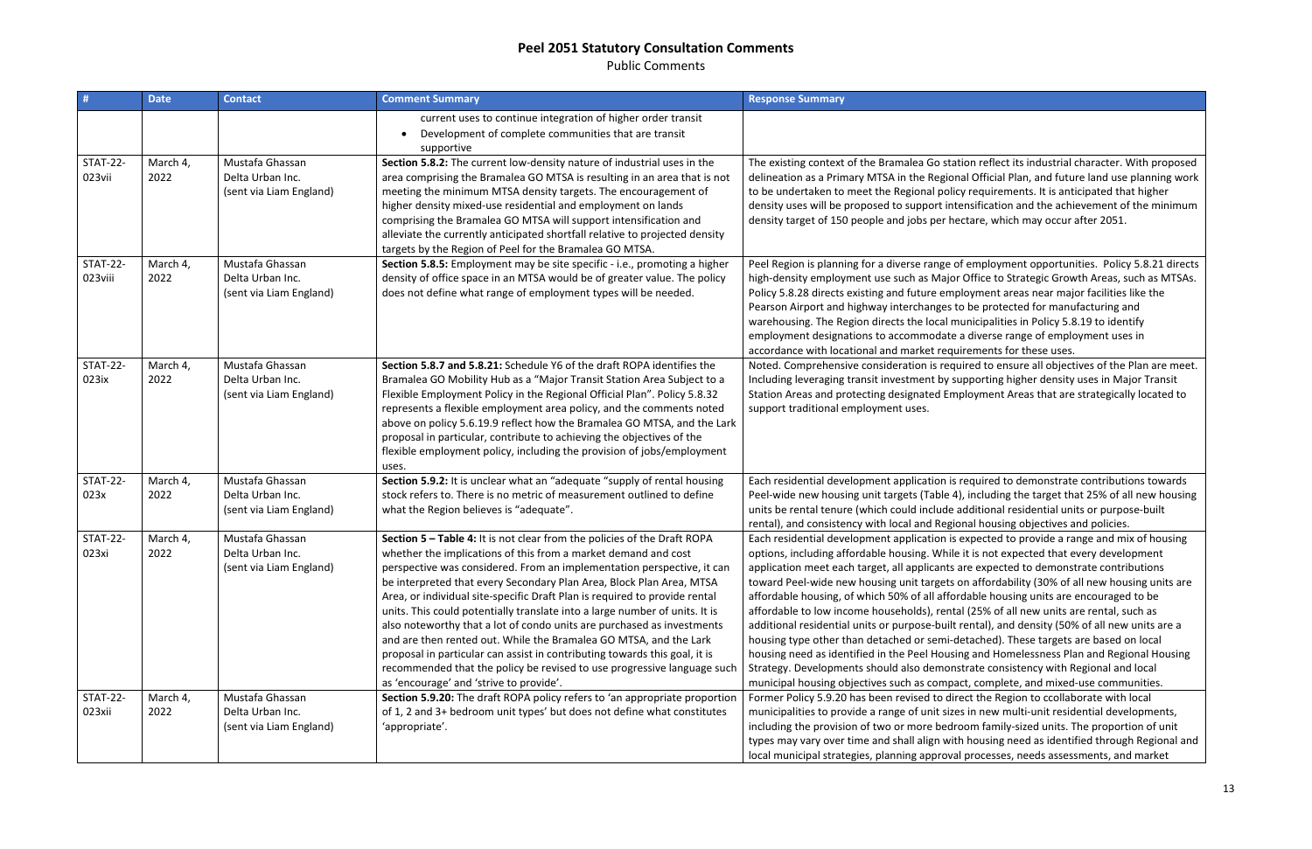Public Comments

| #                          | <b>Date</b>      | <b>Contact</b>                                                 | <b>Comment Summary</b>                                                                                                                                                                                                                                                                                                                                                                                                                                                                                                                                                                                                                                                                                                                                                                                       | <b>Response Summary</b>                                                                                                                                                                                                                                                                                                                                                                                                                                                                                                                                |
|----------------------------|------------------|----------------------------------------------------------------|--------------------------------------------------------------------------------------------------------------------------------------------------------------------------------------------------------------------------------------------------------------------------------------------------------------------------------------------------------------------------------------------------------------------------------------------------------------------------------------------------------------------------------------------------------------------------------------------------------------------------------------------------------------------------------------------------------------------------------------------------------------------------------------------------------------|--------------------------------------------------------------------------------------------------------------------------------------------------------------------------------------------------------------------------------------------------------------------------------------------------------------------------------------------------------------------------------------------------------------------------------------------------------------------------------------------------------------------------------------------------------|
|                            |                  |                                                                | current uses to continue integration of higher order transit<br>Development of complete communities that are transit<br>supportive                                                                                                                                                                                                                                                                                                                                                                                                                                                                                                                                                                                                                                                                           |                                                                                                                                                                                                                                                                                                                                                                                                                                                                                                                                                        |
| <b>STAT-22-</b><br>023vii  | March 4,<br>2022 | Mustafa Ghassan<br>Delta Urban Inc.<br>(sent via Liam England) | Section 5.8.2: The current low-density nature of industrial uses in the<br>area comprising the Bramalea GO MTSA is resulting in an area that is not<br>meeting the minimum MTSA density targets. The encouragement of<br>higher density mixed-use residential and employment on lands<br>comprising the Bramalea GO MTSA will support intensification and<br>alleviate the currently anticipated shortfall relative to projected density<br>targets by the Region of Peel for the Bramalea GO MTSA.                                                                                                                                                                                                                                                                                                          | The existing context of the Bramalea Go stati<br>delineation as a Primary MTSA in the Regiona<br>to be undertaken to meet the Regional policy<br>density uses will be proposed to support inte<br>density target of 150 people and jobs per hed                                                                                                                                                                                                                                                                                                        |
| <b>STAT-22-</b><br>023viii | March 4,<br>2022 | Mustafa Ghassan<br>Delta Urban Inc.<br>(sent via Liam England) | Section 5.8.5: Employment may be site specific - i.e., promoting a higher<br>density of office space in an MTSA would be of greater value. The policy<br>does not define what range of employment types will be needed.                                                                                                                                                                                                                                                                                                                                                                                                                                                                                                                                                                                      | Peel Region is planning for a diverse range of<br>high-density employment use such as Major (<br>Policy 5.8.28 directs existing and future emple<br>Pearson Airport and highway interchanges to<br>warehousing. The Region directs the local mu<br>employment designations to accommodate a<br>accordance with locational and market requir                                                                                                                                                                                                            |
| <b>STAT-22-</b><br>023ix   | March 4,<br>2022 | Mustafa Ghassan<br>Delta Urban Inc.<br>(sent via Liam England) | Section 5.8.7 and 5.8.21: Schedule Y6 of the draft ROPA identifies the<br>Bramalea GO Mobility Hub as a "Major Transit Station Area Subject to a<br>Flexible Employment Policy in the Regional Official Plan". Policy 5.8.32<br>represents a flexible employment area policy, and the comments noted<br>above on policy 5.6.19.9 reflect how the Bramalea GO MTSA, and the Lark<br>proposal in particular, contribute to achieving the objectives of the<br>flexible employment policy, including the provision of jobs/employment<br>uses.                                                                                                                                                                                                                                                                  | Noted. Comprehensive consideration is requi<br>Including leveraging transit investment by sup<br>Station Areas and protecting designated Emp<br>support traditional employment uses.                                                                                                                                                                                                                                                                                                                                                                   |
| <b>STAT-22-</b><br>023x    | March 4,<br>2022 | Mustafa Ghassan<br>Delta Urban Inc.<br>(sent via Liam England) | Section 5.9.2: It is unclear what an "adequate "supply of rental housing<br>stock refers to. There is no metric of measurement outlined to define<br>what the Region believes is "adequate".                                                                                                                                                                                                                                                                                                                                                                                                                                                                                                                                                                                                                 | Each residential development application is re<br>Peel-wide new housing unit targets (Table 4),<br>units be rental tenure (which could include ad<br>rental), and consistency with local and Regior                                                                                                                                                                                                                                                                                                                                                    |
| <b>STAT-22-</b><br>023xi   | March 4,<br>2022 | Mustafa Ghassan<br>Delta Urban Inc.<br>(sent via Liam England) | Section 5 - Table 4: It is not clear from the policies of the Draft ROPA<br>whether the implications of this from a market demand and cost<br>perspective was considered. From an implementation perspective, it can<br>be interpreted that every Secondary Plan Area, Block Plan Area, MTSA<br>Area, or individual site-specific Draft Plan is required to provide rental<br>units. This could potentially translate into a large number of units. It is<br>also noteworthy that a lot of condo units are purchased as investments<br>and are then rented out. While the Bramalea GO MTSA, and the Lark<br>proposal in particular can assist in contributing towards this goal, it is<br>recommended that the policy be revised to use progressive language such<br>as 'encourage' and 'strive to provide'. | Each residential development application is e<br>options, including affordable housing. While i<br>application meet each target, all applicants ar<br>toward Peel-wide new housing unit targets of<br>affordable housing, of which 50% of all afford<br>affordable to low income households), rental<br>additional residential units or purpose-built re<br>housing type other than detached or semi-de<br>housing need as identified in the Peel Housing<br>Strategy. Developments should also demonst<br>municipal housing objectives such as compac |
| <b>STAT-22-</b><br>023xii  | March 4,<br>2022 | Mustafa Ghassan<br>Delta Urban Inc.<br>(sent via Liam England) | Section 5.9.20: The draft ROPA policy refers to 'an appropriate proportion<br>of 1, 2 and 3+ bedroom unit types' but does not define what constitutes<br>'appropriate'.                                                                                                                                                                                                                                                                                                                                                                                                                                                                                                                                                                                                                                      | Former Policy 5.9.20 has been revised to dire<br>municipalities to provide a range of unit sizes<br>including the provision of two or more bedro<br>types may vary over time and shall align with<br>local municipal strategies, planning approval                                                                                                                                                                                                                                                                                                     |

ion reflect its industrial character. With proposed al Official Plan, and future land use planning work requirements. It is anticipated that higher nsification and the achievement of the minimum tare, which may occur after 2051.

employment opportunities. Policy 5.8.21 directs Office to Strategic Growth Areas, such as MTSAs. loyment areas near major facilities like the be protected for manufacturing and inicipalities in Policy 5.8.19 to identify diverse range of employment uses in rements for these uses.

ired to ensure all objectives of the Plan are meet. pporting higher density uses in Major Transit Ioyment Areas that are strategically located to

equired to demonstrate contributions towards including the target that 25% of all new housing dditional residential units or purpose-built ral housing objectives and policies.

Expected to provide a range and mix of housing it is not expected that every development re expected to demonstrate contributions on affordability (30% of all new housing units are lable housing units are encouraged to be  $(25% of all new units are rental, such as$ ental), and density (50% of all new units are a etached). These targets are based on local ng and Homelessness Plan and Regional Housing trate consistency with Regional and local t, complete, and mixed-use communities. ect the Region to ccollaborate with local in new multi-unit residential developments, iom family-sized units. The proportion of unit I housing need as identified through Regional and processes, needs assessments, and market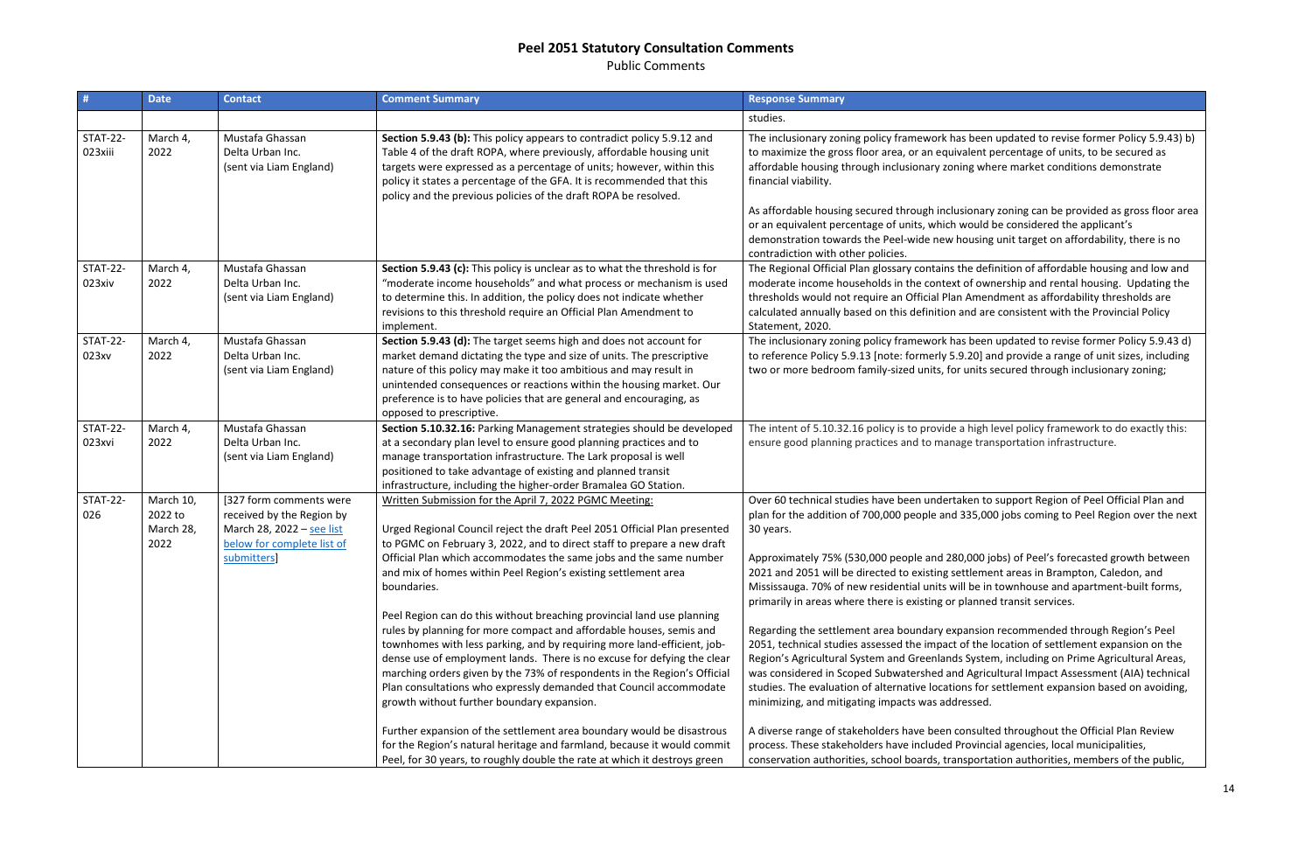Public Comments

| #                          | <b>Date</b>                               | <b>Contact</b>                                                                                                                 | <b>Comment Summary</b>                                                                                                                                                                                                                                                                                                                                                                                                                                                                                                                                                                                                                                                                                                                                                                                                                                                                                                                                                                                                                                                                                        | <b>Response Summary</b>                                                                                                                                                                                                                                                                                                                                                                                                                                                                                                                                                                                                                                                                                                                                         |
|----------------------------|-------------------------------------------|--------------------------------------------------------------------------------------------------------------------------------|---------------------------------------------------------------------------------------------------------------------------------------------------------------------------------------------------------------------------------------------------------------------------------------------------------------------------------------------------------------------------------------------------------------------------------------------------------------------------------------------------------------------------------------------------------------------------------------------------------------------------------------------------------------------------------------------------------------------------------------------------------------------------------------------------------------------------------------------------------------------------------------------------------------------------------------------------------------------------------------------------------------------------------------------------------------------------------------------------------------|-----------------------------------------------------------------------------------------------------------------------------------------------------------------------------------------------------------------------------------------------------------------------------------------------------------------------------------------------------------------------------------------------------------------------------------------------------------------------------------------------------------------------------------------------------------------------------------------------------------------------------------------------------------------------------------------------------------------------------------------------------------------|
|                            |                                           |                                                                                                                                |                                                                                                                                                                                                                                                                                                                                                                                                                                                                                                                                                                                                                                                                                                                                                                                                                                                                                                                                                                                                                                                                                                               | studies.                                                                                                                                                                                                                                                                                                                                                                                                                                                                                                                                                                                                                                                                                                                                                        |
| <b>STAT-22-</b><br>023xiii | March 4,<br>2022                          | Mustafa Ghassan<br>Delta Urban Inc.<br>(sent via Liam England)                                                                 | Section 5.9.43 (b): This policy appears to contradict policy 5.9.12 and<br>Table 4 of the draft ROPA, where previously, affordable housing unit<br>targets were expressed as a percentage of units; however, within this<br>policy it states a percentage of the GFA. It is recommended that this<br>policy and the previous policies of the draft ROPA be resolved.                                                                                                                                                                                                                                                                                                                                                                                                                                                                                                                                                                                                                                                                                                                                          | The inclusionary zoning policy framework has<br>to maximize the gross floor area, or an equiva<br>affordable housing through inclusionary zonir<br>financial viability.<br>As affordable housing secured through inclus<br>or an equivalent percentage of units, which w<br>demonstration towards the Peel-wide new ho                                                                                                                                                                                                                                                                                                                                                                                                                                          |
| <b>STAT-22-</b><br>023xiv  | March 4,<br>2022                          | Mustafa Ghassan<br>Delta Urban Inc.<br>(sent via Liam England)                                                                 | Section 5.9.43 (c): This policy is unclear as to what the threshold is for<br>"moderate income households" and what process or mechanism is used<br>to determine this. In addition, the policy does not indicate whether<br>revisions to this threshold require an Official Plan Amendment to<br>implement.                                                                                                                                                                                                                                                                                                                                                                                                                                                                                                                                                                                                                                                                                                                                                                                                   | contradiction with other policies.<br>The Regional Official Plan glossary contains th<br>moderate income households in the context<br>thresholds would not require an Official Plan<br>calculated annually based on this definition a<br>Statement, 2020.                                                                                                                                                                                                                                                                                                                                                                                                                                                                                                       |
| <b>STAT-22-</b><br>023xv   | March 4,<br>2022                          | Mustafa Ghassan<br>Delta Urban Inc.<br>(sent via Liam England)                                                                 | Section 5.9.43 (d): The target seems high and does not account for<br>market demand dictating the type and size of units. The prescriptive<br>nature of this policy may make it too ambitious and may result in<br>unintended consequences or reactions within the housing market. Our<br>preference is to have policies that are general and encouraging, as<br>opposed to prescriptive.                                                                                                                                                                                                                                                                                                                                                                                                                                                                                                                                                                                                                                                                                                                     | The inclusionary zoning policy framework has<br>to reference Policy 5.9.13 [note: formerly 5.9<br>two or more bedroom family-sized units, for                                                                                                                                                                                                                                                                                                                                                                                                                                                                                                                                                                                                                   |
| <b>STAT-22-</b><br>023xvi  | March 4,<br>2022                          | Mustafa Ghassan<br>Delta Urban Inc.<br>(sent via Liam England)                                                                 | Section 5.10.32.16: Parking Management strategies should be developed<br>at a secondary plan level to ensure good planning practices and to<br>manage transportation infrastructure. The Lark proposal is well<br>positioned to take advantage of existing and planned transit<br>infrastructure, including the higher-order Bramalea GO Station.                                                                                                                                                                                                                                                                                                                                                                                                                                                                                                                                                                                                                                                                                                                                                             | The intent of 5.10.32.16 policy is to provide a<br>ensure good planning practices and to manag                                                                                                                                                                                                                                                                                                                                                                                                                                                                                                                                                                                                                                                                  |
| <b>STAT-22-</b><br>026     | March 10,<br>2022 to<br>March 28,<br>2022 | [327 form comments were<br>received by the Region by<br>March 28, 2022 - see list<br>below for complete list of<br>submitters] | Written Submission for the April 7, 2022 PGMC Meeting:<br>Urged Regional Council reject the draft Peel 2051 Official Plan presented<br>to PGMC on February 3, 2022, and to direct staff to prepare a new draft<br>Official Plan which accommodates the same jobs and the same number<br>and mix of homes within Peel Region's existing settlement area<br>boundaries.<br>Peel Region can do this without breaching provincial land use planning<br>rules by planning for more compact and affordable houses, semis and<br>townhomes with less parking, and by requiring more land-efficient, job-<br>dense use of employment lands. There is no excuse for defying the clear<br>marching orders given by the 73% of respondents in the Region's Official<br>Plan consultations who expressly demanded that Council accommodate<br>growth without further boundary expansion.<br>Further expansion of the settlement area boundary would be disastrous<br>for the Region's natural heritage and farmland, because it would commit<br>Peel, for 30 years, to roughly double the rate at which it destroys green | Over 60 technical studies have been undertal<br>plan for the addition of 700,000 people and 3<br>30 years.<br>Approximately 75% (530,000 people and 280<br>2021 and 2051 will be directed to existing set<br>Mississauga. 70% of new residential units will<br>primarily in areas where there is existing or p<br>Regarding the settlement area boundary expa<br>2051, technical studies assessed the impact o<br>Region's Agricultural System and Greenlands<br>was considered in Scoped Subwatershed and<br>studies. The evaluation of alternative location<br>minimizing, and mitigating impacts was addre<br>A diverse range of stakeholders have been co<br>process. These stakeholders have included Pr<br>conservation authorities, school boards, trans |

been updated to revise former Policy 5.9.43) b) alent percentage of units, to be secured as ng where market conditions demonstrate

ionary zoning can be provided as gross floor area vould be considered the applicant's ousing unit target on affordability, there is no

he definition of affordable housing and low and of ownership and rental housing. Updating the Amendment as affordability thresholds are nd are consistent with the Provincial Policy

Soleen updated to revise former Policy 5.9.43 d) .20] and provide a range of unit sizes, including units secured through inclusionary zoning;

high level policy framework to do exactly this: ge transportation infrastructure.

ken to support Region of Peel Official Plan and 335,000 jobs coming to Peel Region over the next

,000 jobs) of Peel's forecasted growth between ttlement areas in Brampton, Caledon, and I be in townhouse and apartment-built forms, lanned transit services.

ansion recommended through Region's Peel of the location of settlement expansion on the System, including on Prime Agricultural Areas, Agricultural Impact Assessment (AIA) technical ns for settlement expansion based on avoiding, essed.

I onsulted throughout the Official Plan Review rovincial agencies, local municipalities, sportation authorities, members of the public,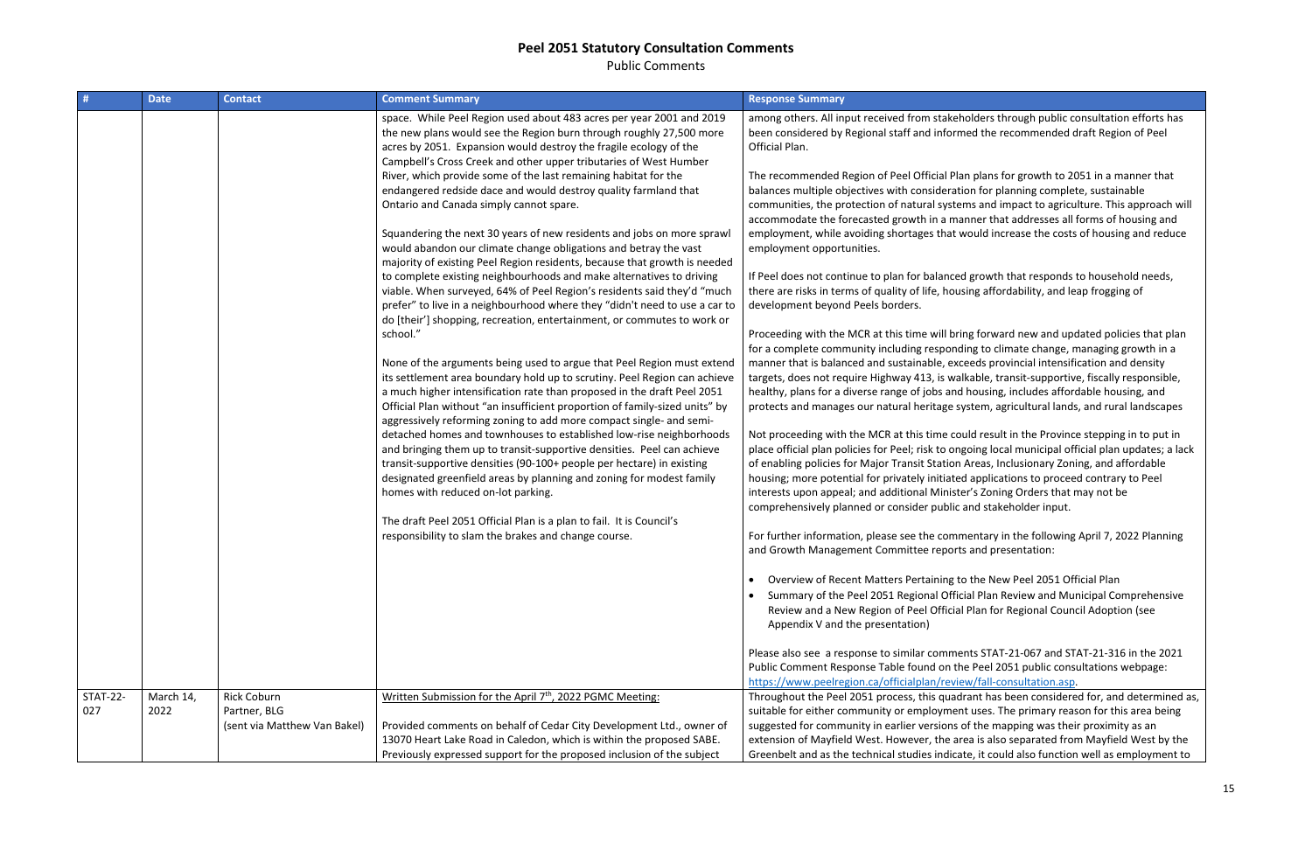Public Comments

| #               | <b>Date</b> | <b>Contact</b>               | <b>Comment Summary</b>                                                                                                                                                                                                                                                                                                                                                                                                                                                                                                                                                                                                                                                                                                                                                                                                                                                                                                                                                                                                                                                                                                                                                                                                                                                                                                                                                                                                                                                                                                                                                                                                                                                                                                                                                                                                                                                                    | <b>Response Summary</b>                                                                                                                                                                                                                                                                                                                                                                                                                                                                                                                                                                                                                                                                                                                                                                                                                                                                                                                                                                                                                                                                                                                                                                                                                                                                                                                   |
|-----------------|-------------|------------------------------|-------------------------------------------------------------------------------------------------------------------------------------------------------------------------------------------------------------------------------------------------------------------------------------------------------------------------------------------------------------------------------------------------------------------------------------------------------------------------------------------------------------------------------------------------------------------------------------------------------------------------------------------------------------------------------------------------------------------------------------------------------------------------------------------------------------------------------------------------------------------------------------------------------------------------------------------------------------------------------------------------------------------------------------------------------------------------------------------------------------------------------------------------------------------------------------------------------------------------------------------------------------------------------------------------------------------------------------------------------------------------------------------------------------------------------------------------------------------------------------------------------------------------------------------------------------------------------------------------------------------------------------------------------------------------------------------------------------------------------------------------------------------------------------------------------------------------------------------------------------------------------------------|-------------------------------------------------------------------------------------------------------------------------------------------------------------------------------------------------------------------------------------------------------------------------------------------------------------------------------------------------------------------------------------------------------------------------------------------------------------------------------------------------------------------------------------------------------------------------------------------------------------------------------------------------------------------------------------------------------------------------------------------------------------------------------------------------------------------------------------------------------------------------------------------------------------------------------------------------------------------------------------------------------------------------------------------------------------------------------------------------------------------------------------------------------------------------------------------------------------------------------------------------------------------------------------------------------------------------------------------|
|                 |             |                              | space. While Peel Region used about 483 acres per year 2001 and 2019<br>the new plans would see the Region burn through roughly 27,500 more<br>acres by 2051. Expansion would destroy the fragile ecology of the<br>Campbell's Cross Creek and other upper tributaries of West Humber<br>River, which provide some of the last remaining habitat for the<br>endangered redside dace and would destroy quality farmland that<br>Ontario and Canada simply cannot spare.<br>Squandering the next 30 years of new residents and jobs on more sprawl<br>would abandon our climate change obligations and betray the vast<br>majority of existing Peel Region residents, because that growth is needed<br>to complete existing neighbourhoods and make alternatives to driving<br>viable. When surveyed, 64% of Peel Region's residents said they'd "much<br>prefer" to live in a neighbourhood where they "didn't need to use a car to<br>do [their'] shopping, recreation, entertainment, or commutes to work or<br>school."<br>None of the arguments being used to argue that Peel Region must extend<br>its settlement area boundary hold up to scrutiny. Peel Region can achieve<br>a much higher intensification rate than proposed in the draft Peel 2051<br>Official Plan without "an insufficient proportion of family-sized units" by<br>aggressively reforming zoning to add more compact single- and semi-<br>detached homes and townhouses to established low-rise neighborhoods<br>and bringing them up to transit-supportive densities. Peel can achieve<br>transit-supportive densities (90-100+ people per hectare) in existing<br>designated greenfield areas by planning and zoning for modest family<br>homes with reduced on-lot parking.<br>The draft Peel 2051 Official Plan is a plan to fail. It is Council's<br>responsibility to slam the brakes and change course. | among others. All input received from stakeh<br>been considered by Regional staff and inform<br>Official Plan.<br>The recommended Region of Peel Official Pla<br>balances multiple objectives with consideration<br>communities, the protection of natural syster<br>accommodate the forecasted growth in a ma<br>employment, while avoiding shortages that w<br>employment opportunities.<br>If Peel does not continue to plan for balanced<br>there are risks in terms of quality of life, hous<br>development beyond Peels borders.<br>Proceeding with the MCR at this time will brir<br>for a complete community including respond<br>manner that is balanced and sustainable, exc<br>targets, does not require Highway 413, is wal<br>healthy, plans for a diverse range of jobs and<br>protects and manages our natural heritage sy<br>Not proceeding with the MCR at this time cou<br>place official plan policies for Peel; risk to ong<br>of enabling policies for Major Transit Station.<br>housing; more potential for privately initiated<br>interests upon appeal; and additional Ministe<br>comprehensively planned or consider public a<br>For further information, please see the comm<br>and Growth Management Committee reports<br>Overview of Recent Matters Pertaining to<br>Summary of the Peel 2051 Regional Offici |
|                 |             |                              |                                                                                                                                                                                                                                                                                                                                                                                                                                                                                                                                                                                                                                                                                                                                                                                                                                                                                                                                                                                                                                                                                                                                                                                                                                                                                                                                                                                                                                                                                                                                                                                                                                                                                                                                                                                                                                                                                           | Review and a New Region of Peel Official<br>Appendix V and the presentation)<br>Please also see a response to similar commer<br>Public Comment Response Table found on the<br>https://www.peelregion.ca/officialplan/revie                                                                                                                                                                                                                                                                                                                                                                                                                                                                                                                                                                                                                                                                                                                                                                                                                                                                                                                                                                                                                                                                                                                |
| <b>STAT-22-</b> | March 14,   | <b>Rick Coburn</b>           | Written Submission for the April 7 <sup>th</sup> , 2022 PGMC Meeting:                                                                                                                                                                                                                                                                                                                                                                                                                                                                                                                                                                                                                                                                                                                                                                                                                                                                                                                                                                                                                                                                                                                                                                                                                                                                                                                                                                                                                                                                                                                                                                                                                                                                                                                                                                                                                     |                                                                                                                                                                                                                                                                                                                                                                                                                                                                                                                                                                                                                                                                                                                                                                                                                                                                                                                                                                                                                                                                                                                                                                                                                                                                                                                                           |
| 027             | 2022        | Partner, BLG                 |                                                                                                                                                                                                                                                                                                                                                                                                                                                                                                                                                                                                                                                                                                                                                                                                                                                                                                                                                                                                                                                                                                                                                                                                                                                                                                                                                                                                                                                                                                                                                                                                                                                                                                                                                                                                                                                                                           | Throughout the Peel 2051 process, this quadi<br>suitable for either community or employmen                                                                                                                                                                                                                                                                                                                                                                                                                                                                                                                                                                                                                                                                                                                                                                                                                                                                                                                                                                                                                                                                                                                                                                                                                                                |
|                 |             | (sent via Matthew Van Bakel) | Provided comments on behalf of Cedar City Development Ltd., owner of<br>13070 Heart Lake Road in Caledon, which is within the proposed SABE.                                                                                                                                                                                                                                                                                                                                                                                                                                                                                                                                                                                                                                                                                                                                                                                                                                                                                                                                                                                                                                                                                                                                                                                                                                                                                                                                                                                                                                                                                                                                                                                                                                                                                                                                              | suggested for community in earlier versions o<br>extension of Mayfield West. However, the ard                                                                                                                                                                                                                                                                                                                                                                                                                                                                                                                                                                                                                                                                                                                                                                                                                                                                                                                                                                                                                                                                                                                                                                                                                                             |

olders through public consultation efforts has ed the recommended draft Region of Peel

In plans for growth to 2051 in a manner that ion for planning complete, sustainable ms and impact to agriculture. This approach will nner that addresses all forms of housing and vould increase the costs of housing and reduce

I growth that responds to household needs, ing affordability, and leap frogging of

ng forward new and updated policies that plan ing to climate change, managing growth in a eeds provincial intensification and density kable, transit-supportive, fiscally responsible, housing, includes affordable housing, and ystem, agricultural lands, and rural landscapes

uld result in the Province stepping in to put in zoing local municipal official plan updates; a lack Areas, Inclusionary Zoning, and affordable depolications to proceed contrary to Peel er's Zoning Orders that may not be and stakeholder input.

entary in the following April 7, 2022 Planning and presentation:

the New Peel 2051 Official Plan ial Plan Review and Municipal Comprehensive Plan for Regional Council Adoption (see

nts STAT-21-067 and STAT-21-316 in the 2021 e Peel 2051 public consultations webpage: w/fall-consultation.asp.

rant has been considered for, and determined as, nt uses. The primary reason for this area being of the mapping was their proximity as an ea is also separated from Mayfield West by the te, it could also function well as employment to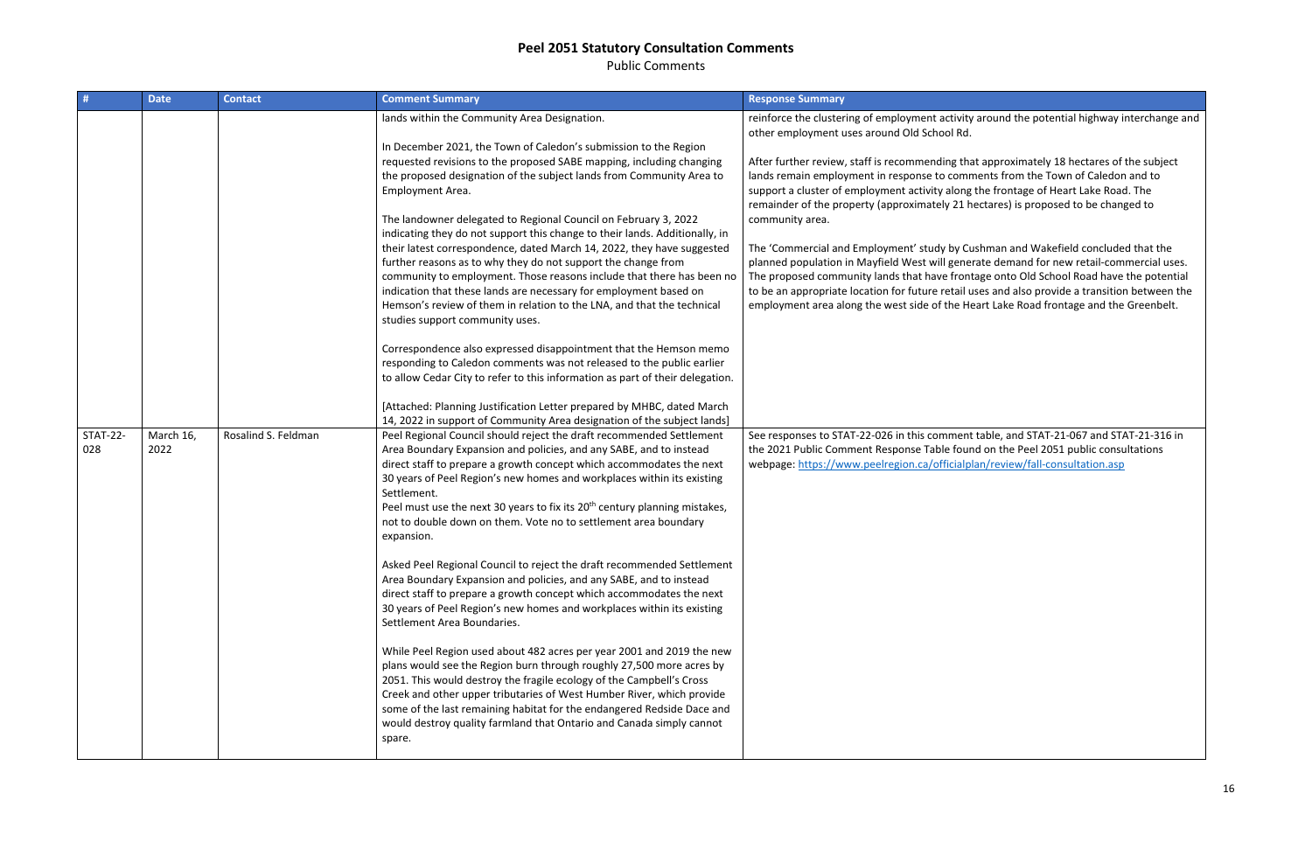Public Comments

| #                      | <b>Date</b>       | <b>Contact</b>      | <b>Comment Summary</b>                                                                                                                                                                                                                                                                                                                                                                                                                                                                                                                                            | <b>Response Summary</b>                                                                                                                                                                                                                                                                                                |
|------------------------|-------------------|---------------------|-------------------------------------------------------------------------------------------------------------------------------------------------------------------------------------------------------------------------------------------------------------------------------------------------------------------------------------------------------------------------------------------------------------------------------------------------------------------------------------------------------------------------------------------------------------------|------------------------------------------------------------------------------------------------------------------------------------------------------------------------------------------------------------------------------------------------------------------------------------------------------------------------|
|                        |                   |                     | lands within the Community Area Designation.<br>In December 2021, the Town of Caledon's submission to the Region<br>requested revisions to the proposed SABE mapping, including changing<br>the proposed designation of the subject lands from Community Area to<br>Employment Area.<br>The landowner delegated to Regional Council on February 3, 2022                                                                                                                                                                                                           | reinforce the clustering of employment activity<br>other employment uses around Old School Rd.<br>After further review, staff is recommending tha<br>lands remain employment in response to comn<br>support a cluster of employment activity along<br>remainder of the property (approximately 21 h<br>community area. |
|                        |                   |                     | indicating they do not support this change to their lands. Additionally, in<br>their latest correspondence, dated March 14, 2022, they have suggested<br>further reasons as to why they do not support the change from<br>community to employment. Those reasons include that there has been no<br>indication that these lands are necessary for employment based on<br>Hemson's review of them in relation to the LNA, and that the technical<br>studies support community uses.                                                                                 | The 'Commercial and Employment' study by Cu<br>planned population in Mayfield West will gener<br>The proposed community lands that have front<br>to be an appropriate location for future retail u<br>employment area along the west side of the He                                                                    |
|                        |                   |                     | Correspondence also expressed disappointment that the Hemson memo<br>responding to Caledon comments was not released to the public earlier<br>to allow Cedar City to refer to this information as part of their delegation.<br>[Attached: Planning Justification Letter prepared by MHBC, dated March                                                                                                                                                                                                                                                             |                                                                                                                                                                                                                                                                                                                        |
| <b>STAT-22-</b><br>028 | March 16,<br>2022 | Rosalind S. Feldman | 14, 2022 in support of Community Area designation of the subject lands]<br>Peel Regional Council should reject the draft recommended Settlement<br>Area Boundary Expansion and policies, and any SABE, and to instead<br>direct staff to prepare a growth concept which accommodates the next<br>30 years of Peel Region's new homes and workplaces within its existing<br>Settlement.<br>Peel must use the next 30 years to fix its 20 <sup>th</sup> century planning mistakes,<br>not to double down on them. Vote no to settlement area boundary<br>expansion. | See responses to STAT-22-026 in this comment<br>the 2021 Public Comment Response Table foun<br>webpage: https://www.peelregion.ca/officialpl                                                                                                                                                                           |
|                        |                   |                     | Asked Peel Regional Council to reject the draft recommended Settlement<br>Area Boundary Expansion and policies, and any SABE, and to instead<br>direct staff to prepare a growth concept which accommodates the next<br>30 years of Peel Region's new homes and workplaces within its existing<br>Settlement Area Boundaries.                                                                                                                                                                                                                                     |                                                                                                                                                                                                                                                                                                                        |
|                        |                   |                     | While Peel Region used about 482 acres per year 2001 and 2019 the new<br>plans would see the Region burn through roughly 27,500 more acres by<br>2051. This would destroy the fragile ecology of the Campbell's Cross<br>Creek and other upper tributaries of West Humber River, which provide<br>some of the last remaining habitat for the endangered Redside Dace and<br>would destroy quality farmland that Ontario and Canada simply cannot<br>spare.                                                                                                        |                                                                                                                                                                                                                                                                                                                        |

vity around the potential highway interchange and

that approximately 18 hectares of the subject mments from the Town of Caledon and to ng the frontage of Heart Lake Road. The L hectares) is proposed to be changed to

Cushman and Wakefield concluded that the nerate demand for new retail-commercial uses. ontage onto Old School Road have the potential il uses and also provide a transition between the **Heart Lake Road frontage and the Greenbelt.** 

ent table, and STAT-21-067 and STAT-21-316 in ound on the Peel 2051 public consultations alplan/review/fall-consultation.asp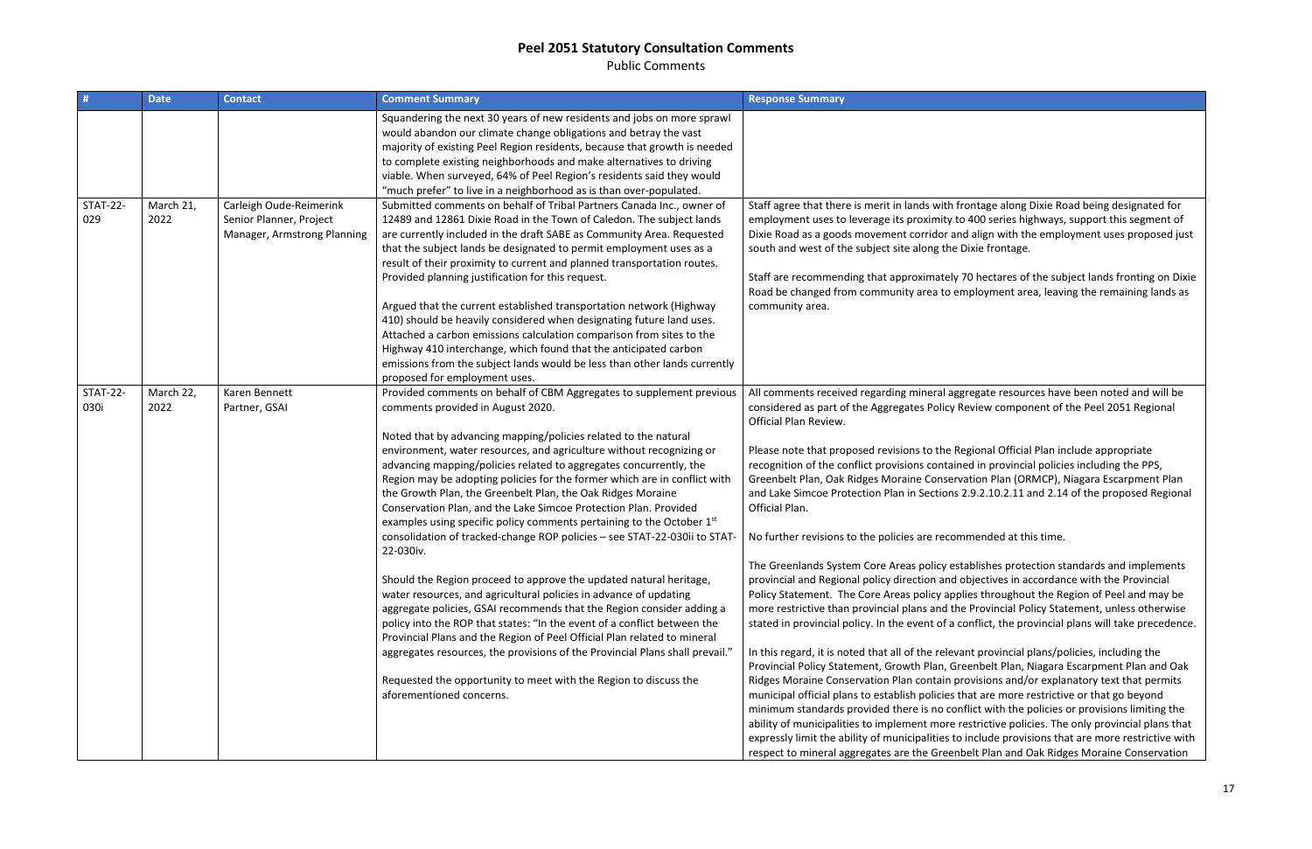Public Comments

| #                       | <b>Date</b>       | <b>Contact</b>                                                                    | <b>Comment Summary</b>                                                                                                                                                                                                                                                                                                                                                                                                                                                                                                                                                                                                                                                                                                                                                                                                                                                                                                                                                                                                                                                                                                                                                                                                                                    | <b>Response Summary</b>                                                                                                                                                                                                                                                                                                                                                                                                                                                                                                                                                                                                                                                                                                                                                                                   |
|-------------------------|-------------------|-----------------------------------------------------------------------------------|-----------------------------------------------------------------------------------------------------------------------------------------------------------------------------------------------------------------------------------------------------------------------------------------------------------------------------------------------------------------------------------------------------------------------------------------------------------------------------------------------------------------------------------------------------------------------------------------------------------------------------------------------------------------------------------------------------------------------------------------------------------------------------------------------------------------------------------------------------------------------------------------------------------------------------------------------------------------------------------------------------------------------------------------------------------------------------------------------------------------------------------------------------------------------------------------------------------------------------------------------------------|-----------------------------------------------------------------------------------------------------------------------------------------------------------------------------------------------------------------------------------------------------------------------------------------------------------------------------------------------------------------------------------------------------------------------------------------------------------------------------------------------------------------------------------------------------------------------------------------------------------------------------------------------------------------------------------------------------------------------------------------------------------------------------------------------------------|
|                         |                   |                                                                                   | Squandering the next 30 years of new residents and jobs on more sprawl<br>would abandon our climate change obligations and betray the vast<br>majority of existing Peel Region residents, because that growth is needed<br>to complete existing neighborhoods and make alternatives to driving<br>viable. When surveyed, 64% of Peel Region's residents said they would<br>"much prefer" to live in a neighborhood as is than over-populated.                                                                                                                                                                                                                                                                                                                                                                                                                                                                                                                                                                                                                                                                                                                                                                                                             |                                                                                                                                                                                                                                                                                                                                                                                                                                                                                                                                                                                                                                                                                                                                                                                                           |
| <b>STAT-22-</b><br>029  | March 21,<br>2022 | Carleigh Oude-Reimerink<br>Senior Planner, Project<br>Manager, Armstrong Planning | Submitted comments on behalf of Tribal Partners Canada Inc., owner of<br>12489 and 12861 Dixie Road in the Town of Caledon. The subject lands<br>are currently included in the draft SABE as Community Area. Requested<br>that the subject lands be designated to permit employment uses as a<br>result of their proximity to current and planned transportation routes.<br>Provided planning justification for this request.<br>Argued that the current established transportation network (Highway<br>410) should be heavily considered when designating future land uses.<br>Attached a carbon emissions calculation comparison from sites to the<br>Highway 410 interchange, which found that the anticipated carbon<br>emissions from the subject lands would be less than other lands currently<br>proposed for employment uses.                                                                                                                                                                                                                                                                                                                                                                                                                    | Staff agree that there is merit in lands with fr<br>employment uses to leverage its proximity to<br>Dixie Road as a goods movement corridor and<br>south and west of the subject site along the I<br>Staff are recommending that approximately 7<br>Road be changed from community area to en<br>community area.                                                                                                                                                                                                                                                                                                                                                                                                                                                                                          |
| <b>STAT-22-</b><br>030i | March 22,<br>2022 | Karen Bennett<br>Partner, GSAI                                                    | Provided comments on behalf of CBM Aggregates to supplement previous<br>comments provided in August 2020.<br>Noted that by advancing mapping/policies related to the natural<br>environment, water resources, and agriculture without recognizing or<br>advancing mapping/policies related to aggregates concurrently, the<br>Region may be adopting policies for the former which are in conflict with<br>the Growth Plan, the Greenbelt Plan, the Oak Ridges Moraine<br>Conservation Plan, and the Lake Simcoe Protection Plan. Provided<br>examples using specific policy comments pertaining to the October 1 <sup>st</sup><br>consolidation of tracked-change ROP policies - see STAT-22-030ii to STAT-<br>22-030iv.<br>Should the Region proceed to approve the updated natural heritage,<br>water resources, and agricultural policies in advance of updating<br>aggregate policies, GSAI recommends that the Region consider adding a<br>policy into the ROP that states: "In the event of a conflict between the<br>Provincial Plans and the Region of Peel Official Plan related to mineral<br>aggregates resources, the provisions of the Provincial Plans shall prevail."<br>Requested the opportunity to meet with the Region to discuss the | All comments received regarding mineral agg<br>considered as part of the Aggregates Policy R<br>Official Plan Review.<br>Please note that proposed revisions to the Re<br>recognition of the conflict provisions contain<br>Greenbelt Plan, Oak Ridges Moraine Conserv<br>and Lake Simcoe Protection Plan in Sections 2<br>Official Plan.<br>No further revisions to the policies are recom<br>The Greenlands System Core Areas policy est<br>provincial and Regional policy direction and c<br>Policy Statement. The Core Areas policy appl<br>more restrictive than provincial plans and the<br>stated in provincial policy. In the event of a co<br>In this regard, it is noted that all of the releva<br>Provincial Policy Statement, Growth Plan, Gre<br>Ridges Moraine Conservation Plan contain pr |
|                         |                   |                                                                                   | aforementioned concerns.                                                                                                                                                                                                                                                                                                                                                                                                                                                                                                                                                                                                                                                                                                                                                                                                                                                                                                                                                                                                                                                                                                                                                                                                                                  | municipal official plans to establish policies th<br>minimum standards provided there is no con<br>ability of municipalities to implement more re<br>expressly limit the ability of municipalities to<br>respect to mineral aggregates are the Greent                                                                                                                                                                                                                                                                                                                                                                                                                                                                                                                                                     |

rontage along Dixie Road being designated for  $\theta$  400 series highways, support this segment of d align with the employment uses proposed just Dixie frontage.

70 hectares of the subject lands fronting on Dixie mployment area, leaving the remaining lands as

gregate resources have been noted and will be Review component of the Peel 2051 Regional

Pease national Official Plan include appropriate red in provincial policies including the PPS, ration Plan (ORMCP), Niagara Escarpment Plan 2.9.2.10.2.11 and 2.14 of the proposed Regional

Imended at this time.

tablishes protection standards and implements pbjectives in accordance with the Provincial lies throughout the Region of Peel and may be e Provincial Policy Statement, unless otherwise conflict, the provincial plans will take precedence.

ant provincial plans/policies, including the eenbelt Plan, Niagara Escarpment Plan and Oak rovisions and/or explanatory text that permits hat are more restrictive or that go beyond iflict with the policies or provisions limiting the restrictive policies. The only provincial plans that include provisions that are more restrictive with relt Plan and Oak Ridges Moraine Conservation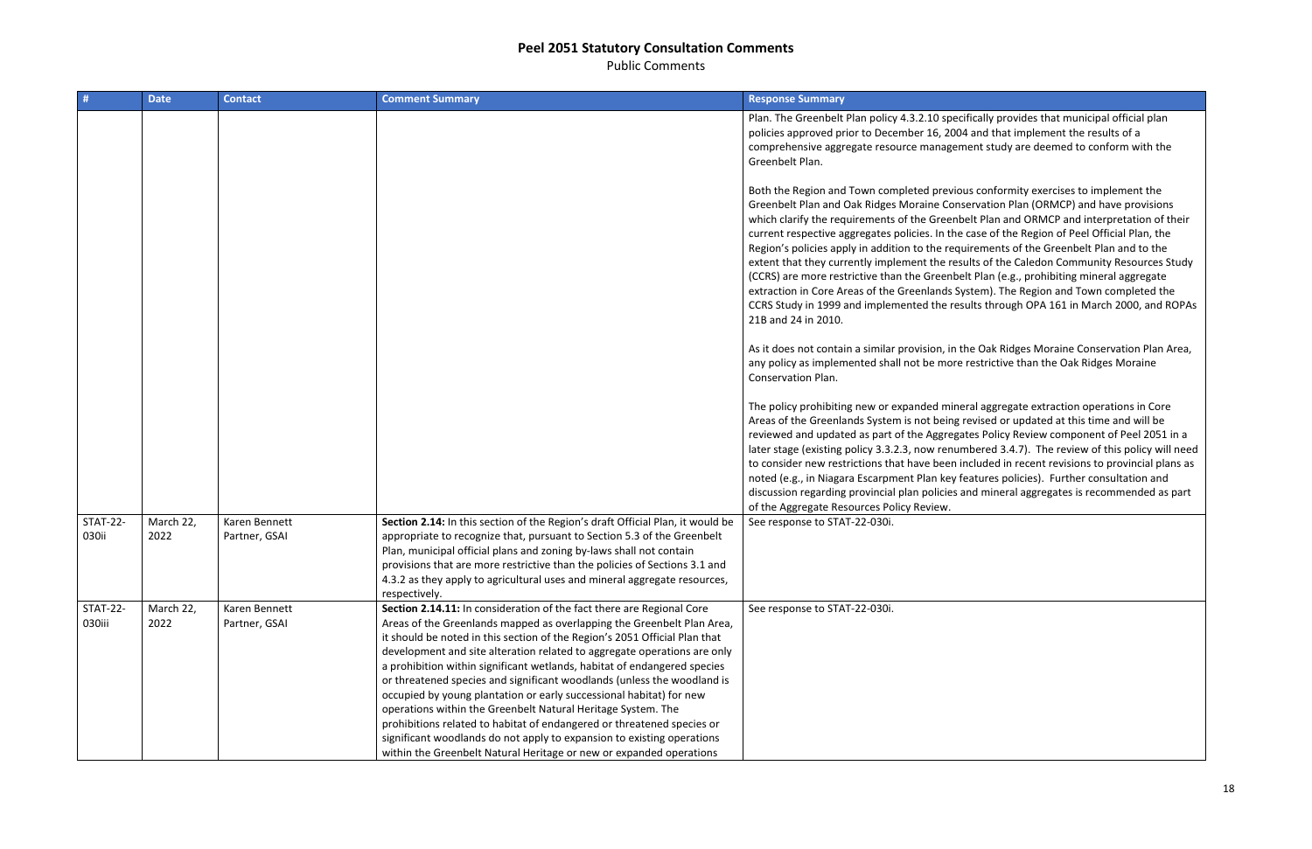Public Comments

| #                         | <b>Date</b>       | <b>Contact</b>                 | <b>Comment Summary</b>                                                                                                                                                                                                                                                                                                                                                                                                                                                                                                                                                                                                                                                                                                                                                                                                             | <b>Response Summary</b>                                                                                                                                                                                                                                                                                                                                                                                                                                            |
|---------------------------|-------------------|--------------------------------|------------------------------------------------------------------------------------------------------------------------------------------------------------------------------------------------------------------------------------------------------------------------------------------------------------------------------------------------------------------------------------------------------------------------------------------------------------------------------------------------------------------------------------------------------------------------------------------------------------------------------------------------------------------------------------------------------------------------------------------------------------------------------------------------------------------------------------|--------------------------------------------------------------------------------------------------------------------------------------------------------------------------------------------------------------------------------------------------------------------------------------------------------------------------------------------------------------------------------------------------------------------------------------------------------------------|
|                           |                   |                                |                                                                                                                                                                                                                                                                                                                                                                                                                                                                                                                                                                                                                                                                                                                                                                                                                                    | Plan. The Greenbelt Plan policy 4.3.2.10 spec<br>policies approved prior to December 16, 200<br>comprehensive aggregate resource manager<br>Greenbelt Plan.                                                                                                                                                                                                                                                                                                        |
|                           |                   |                                |                                                                                                                                                                                                                                                                                                                                                                                                                                                                                                                                                                                                                                                                                                                                                                                                                                    | Both the Region and Town completed previo<br>Greenbelt Plan and Oak Ridges Moraine Con:<br>which clarify the requirements of the Greenk<br>current respective aggregates policies. In the<br>Region's policies apply in addition to the requ<br>extent that they currently implement the res<br>(CCRS) are more restrictive than the Greenbe<br>extraction in Core Areas of the Greenlands Sy<br>CCRS Study in 1999 and implemented the res<br>21B and 24 in 2010. |
|                           |                   |                                |                                                                                                                                                                                                                                                                                                                                                                                                                                                                                                                                                                                                                                                                                                                                                                                                                                    | As it does not contain a similar provision, in t<br>any policy as implemented shall not be more<br>Conservation Plan.                                                                                                                                                                                                                                                                                                                                              |
|                           |                   |                                |                                                                                                                                                                                                                                                                                                                                                                                                                                                                                                                                                                                                                                                                                                                                                                                                                                    | The policy prohibiting new or expanded mine<br>Areas of the Greenlands System is not being<br>reviewed and updated as part of the Aggrega<br>later stage (existing policy 3.3.2.3, now renur<br>to consider new restrictions that have been i<br>noted (e.g., in Niagara Escarpment Plan key f<br>discussion regarding provincial plan policies a<br>of the Aggregate Resources Policy Review.                                                                     |
| <b>STAT-22-</b><br>030ii  | March 22,<br>2022 | Karen Bennett<br>Partner, GSAI | Section 2.14: In this section of the Region's draft Official Plan, it would be<br>appropriate to recognize that, pursuant to Section 5.3 of the Greenbelt<br>Plan, municipal official plans and zoning by-laws shall not contain<br>provisions that are more restrictive than the policies of Sections 3.1 and<br>4.3.2 as they apply to agricultural uses and mineral aggregate resources,<br>respectively.                                                                                                                                                                                                                                                                                                                                                                                                                       | See response to STAT-22-030i.                                                                                                                                                                                                                                                                                                                                                                                                                                      |
| <b>STAT-22-</b><br>030iii | March 22,<br>2022 | Karen Bennett<br>Partner, GSAI | Section 2.14.11: In consideration of the fact there are Regional Core<br>Areas of the Greenlands mapped as overlapping the Greenbelt Plan Area,<br>it should be noted in this section of the Region's 2051 Official Plan that<br>development and site alteration related to aggregate operations are only<br>a prohibition within significant wetlands, habitat of endangered species<br>or threatened species and significant woodlands (unless the woodland is<br>occupied by young plantation or early successional habitat) for new<br>operations within the Greenbelt Natural Heritage System. The<br>prohibitions related to habitat of endangered or threatened species or<br>significant woodlands do not apply to expansion to existing operations<br>within the Greenbelt Natural Heritage or new or expanded operations | See response to STAT-22-030i.                                                                                                                                                                                                                                                                                                                                                                                                                                      |

cifically provides that municipal official plan 04 and that implement the results of a ment study are deemed to conform with the

bus conformity exercises to implement the servation Plan (ORMCP) and have provisions belt Plan and ORMCP and interpretation of their ecase of the Region of Peel Official Plan, the uirements of the Greenbelt Plan and to the sults of the Caledon Community Resources Study elt Plan (e.g., prohibiting mineral aggregate ystem). The Region and Town completed the sults through OPA 161 in March 2000, and ROPAs

the Oak Ridges Moraine Conservation Plan Area, e restrictive than the Oak Ridges Moraine

eral aggregate extraction operations in Core revised or updated at this time and will be ates Policy Review component of Peel 2051 in a mbered 3.4.7). The review of this policy will need included in recent revisions to provincial plans as features policies). Further consultation and and mineral aggregates is recommended as part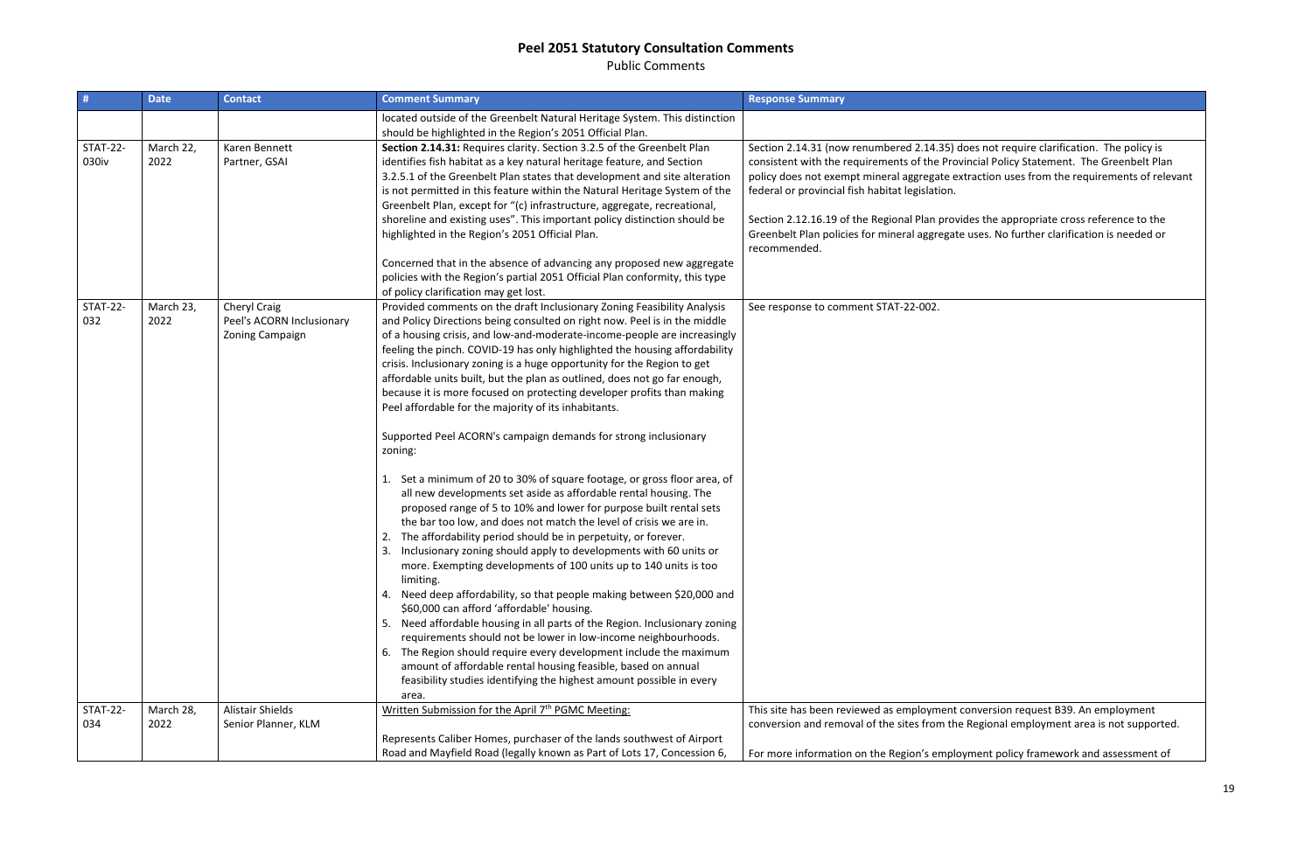Public Comments

| located outside of the Greenbelt Natural Heritage System. This distinction<br>should be highlighted in the Region's 2051 Official Plan.<br>March 22,<br><b>STAT-22-</b><br>Section 2.14.31: Requires clarity. Section 3.2.5 of the Greenbelt Plan<br>Karen Bennett<br>030iv<br>2022<br>Partner, GSAI<br>identifies fish habitat as a key natural heritage feature, and Section<br>3.2.5.1 of the Greenbelt Plan states that development and site alteration<br>is not permitted in this feature within the Natural Heritage System of the<br>federal or provincial fish habitat legislation.<br>Greenbelt Plan, except for "(c) infrastructure, aggregate, recreational,<br>shoreline and existing uses". This important policy distinction should be<br>highlighted in the Region's 2051 Official Plan.<br>recommended.<br>Concerned that in the absence of advancing any proposed new aggregate<br>policies with the Region's partial 2051 Official Plan conformity, this type<br>of policy clarification may get lost.<br><b>STAT-22-</b><br>Provided comments on the draft Inclusionary Zoning Feasibility Analysis<br>March 23,<br>Cheryl Craig<br>See response to comment STAT-22-002.<br>032<br>Peel's ACORN Inclusionary<br>and Policy Directions being consulted on right now. Peel is in the middle<br>2022<br>Zoning Campaign<br>of a housing crisis, and low-and-moderate-income-people are increasingly<br>feeling the pinch. COVID-19 has only highlighted the housing affordability<br>crisis. Inclusionary zoning is a huge opportunity for the Region to get<br>affordable units built, but the plan as outlined, does not go far enough,<br>because it is more focused on protecting developer profits than making<br>Peel affordable for the majority of its inhabitants.<br>Supported Peel ACORN's campaign demands for strong inclusionary<br>zoning:<br>Set a minimum of 20 to 30% of square footage, or gross floor area, of<br>all new developments set aside as affordable rental housing. The<br>proposed range of 5 to 10% and lower for purpose built rental sets<br>the bar too low, and does not match the level of crisis we are in.<br>The affordability period should be in perpetuity, or forever.<br>Inclusionary zoning should apply to developments with 60 units or<br>more. Exempting developments of 100 units up to 140 units is too<br>limiting.<br>Need deep affordability, so that people making between \$20,000 and | # | <b>Date</b><br><b>Contact</b> | <b>Comment Summary</b>                    | <b>Response Summary</b>                                                                                                                                                                                                                                                                                                                                                                                                                                                 |
|-------------------------------------------------------------------------------------------------------------------------------------------------------------------------------------------------------------------------------------------------------------------------------------------------------------------------------------------------------------------------------------------------------------------------------------------------------------------------------------------------------------------------------------------------------------------------------------------------------------------------------------------------------------------------------------------------------------------------------------------------------------------------------------------------------------------------------------------------------------------------------------------------------------------------------------------------------------------------------------------------------------------------------------------------------------------------------------------------------------------------------------------------------------------------------------------------------------------------------------------------------------------------------------------------------------------------------------------------------------------------------------------------------------------------------------------------------------------------------------------------------------------------------------------------------------------------------------------------------------------------------------------------------------------------------------------------------------------------------------------------------------------------------------------------------------------------------------------------------------------------------------------------------------------------------------------------------------------------------------------------------------------------------------------------------------------------------------------------------------------------------------------------------------------------------------------------------------------------------------------------------------------------------------------------------------------------------------------------------------------------------------------------------------------------------------------------------------------|---|-------------------------------|-------------------------------------------|-------------------------------------------------------------------------------------------------------------------------------------------------------------------------------------------------------------------------------------------------------------------------------------------------------------------------------------------------------------------------------------------------------------------------------------------------------------------------|
|                                                                                                                                                                                                                                                                                                                                                                                                                                                                                                                                                                                                                                                                                                                                                                                                                                                                                                                                                                                                                                                                                                                                                                                                                                                                                                                                                                                                                                                                                                                                                                                                                                                                                                                                                                                                                                                                                                                                                                                                                                                                                                                                                                                                                                                                                                                                                                                                                                                                   |   |                               |                                           |                                                                                                                                                                                                                                                                                                                                                                                                                                                                         |
|                                                                                                                                                                                                                                                                                                                                                                                                                                                                                                                                                                                                                                                                                                                                                                                                                                                                                                                                                                                                                                                                                                                                                                                                                                                                                                                                                                                                                                                                                                                                                                                                                                                                                                                                                                                                                                                                                                                                                                                                                                                                                                                                                                                                                                                                                                                                                                                                                                                                   |   |                               |                                           | Section 2.14.31 (now renumbered 2.14.35) does not require clarification. The policy is<br>consistent with the requirements of the Provincial Policy Statement. The Greenbelt Plan<br>policy does not exempt mineral aggregate extraction uses from the requirements of relevant<br>Section 2.12.16.19 of the Regional Plan provides the appropriate cross reference to the<br>Greenbelt Plan policies for mineral aggregate uses. No further clarification is needed or |
| Need affordable housing in all parts of the Region. Inclusionary zoning<br>5.<br>requirements should not be lower in low-income neighbourhoods.<br>The Region should require every development include the maximum<br>6.<br>amount of affordable rental housing feasible, based on annual<br>feasibility studies identifying the highest amount possible in every<br>area.                                                                                                                                                                                                                                                                                                                                                                                                                                                                                                                                                                                                                                                                                                                                                                                                                                                                                                                                                                                                                                                                                                                                                                                                                                                                                                                                                                                                                                                                                                                                                                                                                                                                                                                                                                                                                                                                                                                                                                                                                                                                                        |   |                               | \$60,000 can afford 'affordable' housing. |                                                                                                                                                                                                                                                                                                                                                                                                                                                                         |
| Written Submission for the April 7 <sup>th</sup> PGMC Meeting:<br><b>STAT-22-</b><br><b>Alistair Shields</b><br>March 28,<br>034<br>2022<br>Senior Planner, KLM<br>Represents Caliber Homes, purchaser of the lands southwest of Airport<br>Road and Mayfield Road (legally known as Part of Lots 17, Concession 6,                                                                                                                                                                                                                                                                                                                                                                                                                                                                                                                                                                                                                                                                                                                                                                                                                                                                                                                                                                                                                                                                                                                                                                                                                                                                                                                                                                                                                                                                                                                                                                                                                                                                                                                                                                                                                                                                                                                                                                                                                                                                                                                                               |   |                               |                                           | This site has been reviewed as employment conversion request B39. An employment<br>conversion and removal of the sites from the Regional employment area is not supported.<br>For more information on the Region's employment policy framework and assessment of                                                                                                                                                                                                        |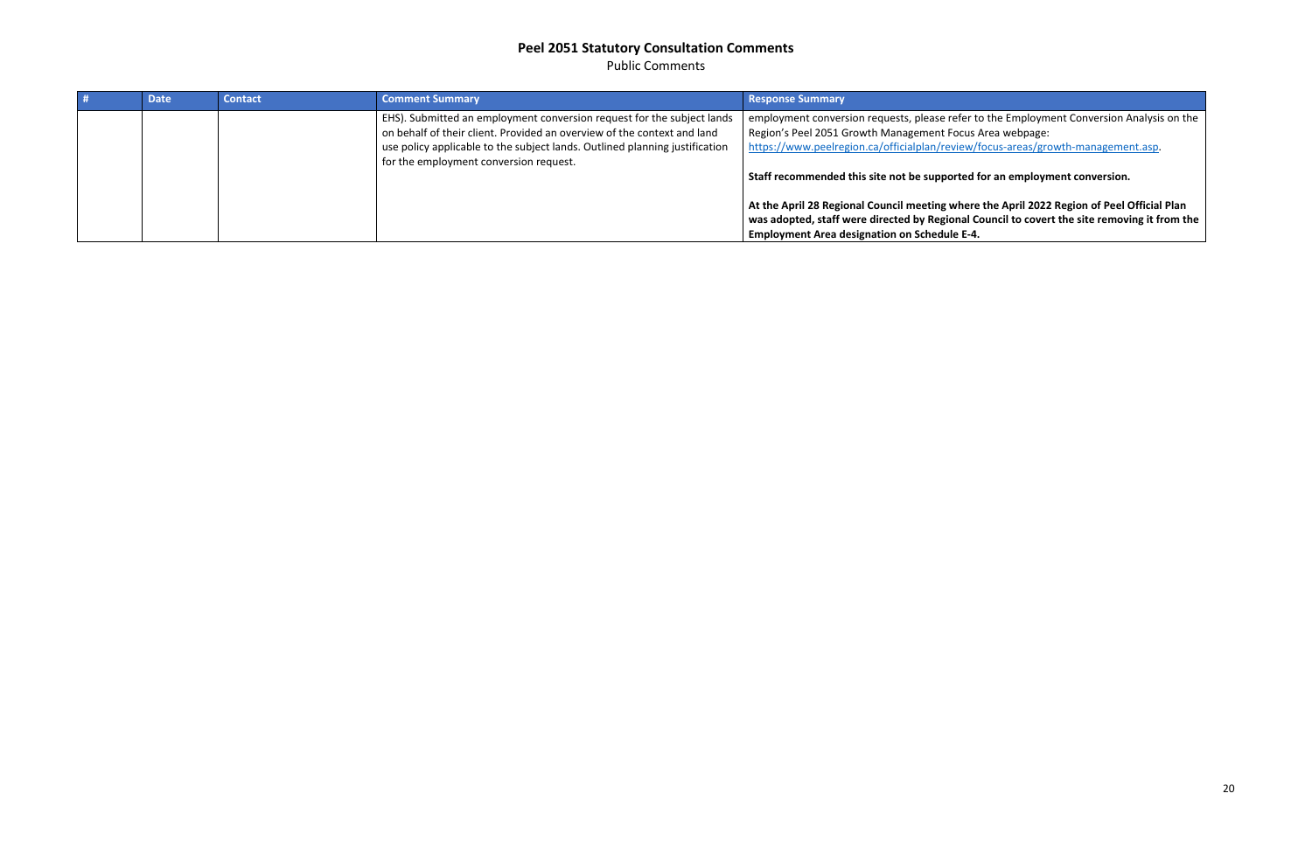Public Comments

<span id="page-19-0"></span>

| <b>Date</b> | <b>Contact</b> | <b>Comment Summary</b>                                                                                                                                                                                                                                                     | <b>Response Summary</b>                                                                                                                                                                                                                                                                                                                   |
|-------------|----------------|----------------------------------------------------------------------------------------------------------------------------------------------------------------------------------------------------------------------------------------------------------------------------|-------------------------------------------------------------------------------------------------------------------------------------------------------------------------------------------------------------------------------------------------------------------------------------------------------------------------------------------|
|             |                | EHS). Submitted an employment conversion request for the subject lands<br>on behalf of their client. Provided an overview of the context and land<br>use policy applicable to the subject lands. Outlined planning justification<br>for the employment conversion request. | employment conversion requests, please refe<br>Region's Peel 2051 Growth Management Foc<br>https://www.peelregion.ca/officialplan/revie<br>Staff recommended this site not be supported<br>At the April 28 Regional Council meeting wh<br>was adopted, staff were directed by Regiona<br><b>Employment Area designation on Schedule I</b> |

fer to the Employment Conversion Analysis on the cus Area webpage: ew/focus-areas/growth-management.asp.

ted for an employment conversion.

**here the April 2022 Region of Peel Official Plan wal Council to covert the site removing it from the E-4.**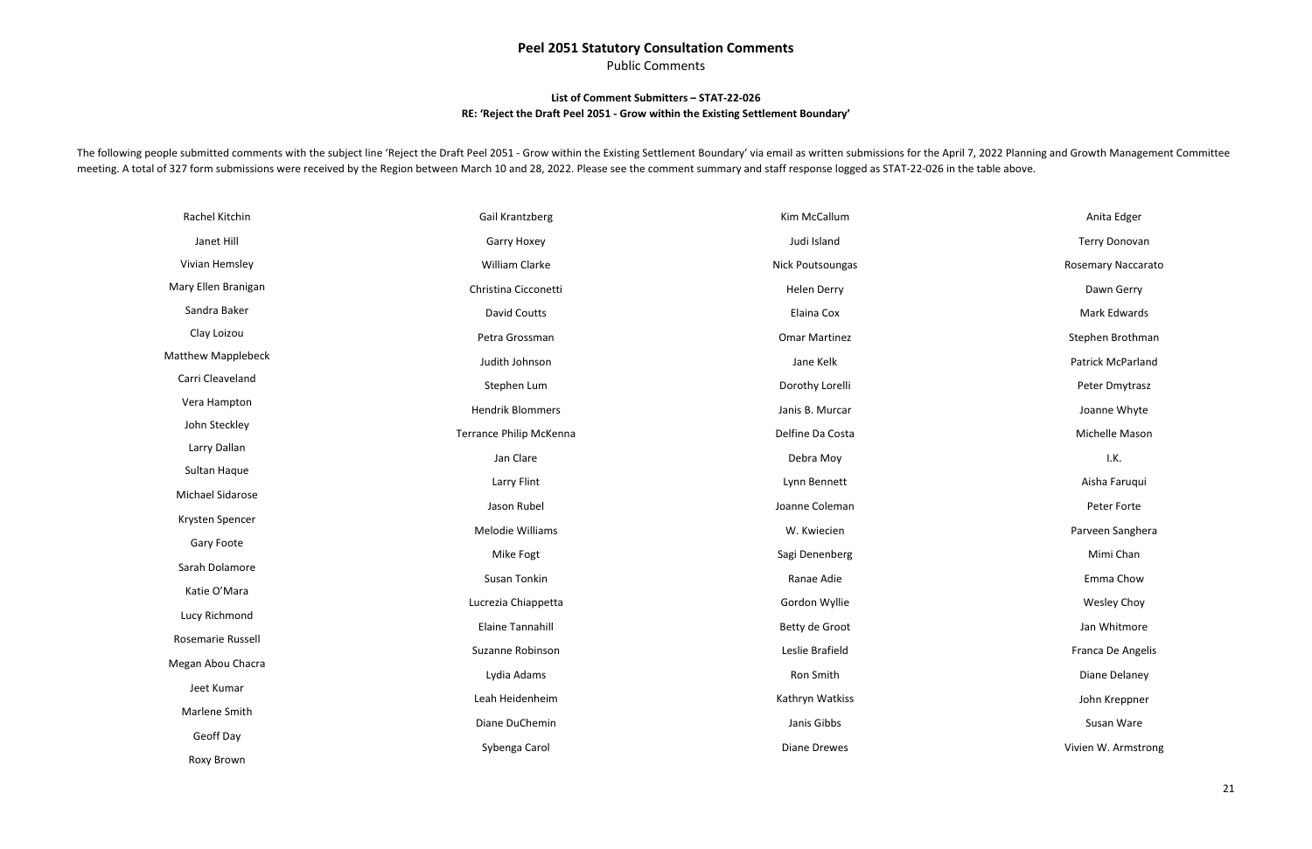Public Comments

#### **List of Comment Submitters – STAT-22-026 RE: 'Reject the Draft Peel 2051 - Grow within the Existing Settlement Boundary'**

The following people submitted comments with the subject line 'Reject the Draft Peel 2051 - Grow within the Existing Settlement Boundary' via email as written submissions for the April 7, 2022 Planning and Growth Managemen meeting. A total of 327 form submissions were received by the Region between March 10 and 28, 2022. Please see the comment summary and staff response logged as STAT-22-026 in the table above.

| Rachel Kitchin            | Gail Krantzberg                | Kim McCallum            |
|---------------------------|--------------------------------|-------------------------|
| Janet Hill                | <b>Garry Hoxey</b>             | Judi Island             |
| Vivian Hemsley            | William Clarke                 | <b>Nick Poutsoungas</b> |
| Mary Ellen Branigan       | Christina Cicconetti           | <b>Helen Derry</b>      |
| Sandra Baker              | <b>David Coutts</b>            | Elaina Cox              |
| Clay Loizou               | Petra Grossman                 | <b>Omar Martinez</b>    |
| <b>Matthew Mapplebeck</b> | Judith Johnson                 | Jane Kelk               |
| Carri Cleaveland          | Stephen Lum                    | Dorothy Lorelli         |
| Vera Hampton              | <b>Hendrik Blommers</b>        | Janis B. Murcar         |
| John Steckley             | <b>Terrance Philip McKenna</b> | Delfine Da Costa        |
| Larry Dallan              | Jan Clare                      | Debra Moy               |
| Sultan Haque              | Larry Flint                    | Lynn Bennett            |
| Michael Sidarose          | Jason Rubel                    | Joanne Coleman          |
| Krysten Spencer           | Melodie Williams               | W. Kwiecien             |
| Gary Foote                | Mike Fogt                      | Sagi Denenberg          |
| Sarah Dolamore            |                                |                         |
| Katie O'Mara              | Susan Tonkin                   | Ranae Adie              |
| Lucy Richmond             | Lucrezia Chiappetta            | Gordon Wyllie           |
| Rosemarie Russell         | Elaine Tannahill               | Betty de Groot          |
| Megan Abou Chacra         | Suzanne Robinson               | Leslie Brafield         |
| Jeet Kumar                | Lydia Adams                    | Ron Smith               |
| Marlene Smith             | Leah Heidenheim                | Kathryn Watkiss         |
|                           | Diane DuChemin                 | Janis Gibbs             |
| Geoff Day                 | Sybenga Carol                  | <b>Diane Drewes</b>     |
| Roxy Brown                |                                |                         |

Anita Edger Terry Donovan Rosemary Naccarato Dawn Gerry Mark Edwards Stephen Brothman Patrick McParland Peter Dmytrasz Joanne Whyte Michelle Mason I.K. Aisha Faruqui Peter Forte Parveen Sanghera Mimi Chan Emma Chow Wesley Choy Jan Whitmore Franca De Angelis Diane Delaney John Kreppner Susan Ware Vivien W. Armstrong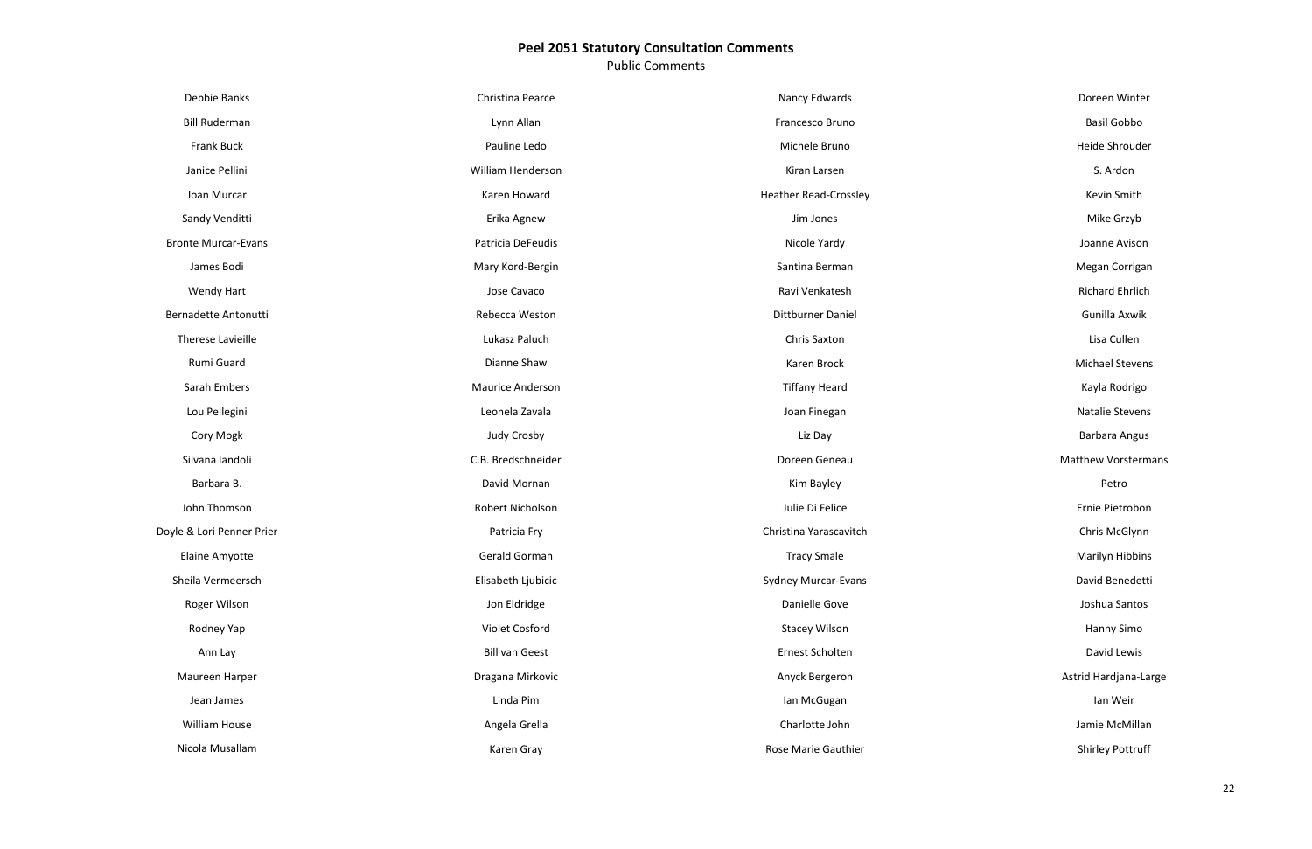Public Comments

| Debbie Banks               | Christina Pearce        | Nancy Edwards                |
|----------------------------|-------------------------|------------------------------|
| <b>Bill Ruderman</b>       | Lynn Allan              | Francesco Bruno              |
| <b>Frank Buck</b>          | Pauline Ledo            | Michele Bruno                |
| Janice Pellini             | William Henderson       | Kiran Larsen                 |
| Joan Murcar                | Karen Howard            | <b>Heather Read-Crossley</b> |
| Sandy Venditti             | Erika Agnew             | Jim Jones                    |
| <b>Bronte Murcar-Evans</b> | Patricia DeFeudis       | Nicole Yardy                 |
| James Bodi                 | Mary Kord-Bergin        | Santina Berman               |
| <b>Wendy Hart</b>          | Jose Cavaco             | Ravi Venkatesh               |
| Bernadette Antonutti       | Rebecca Weston          | Dittburner Daniel            |
| <b>Therese Lavieille</b>   | Lukasz Paluch           | Chris Saxton                 |
| Rumi Guard                 | Dianne Shaw             | Karen Brock                  |
| Sarah Embers               | <b>Maurice Anderson</b> | <b>Tiffany Heard</b>         |
| Lou Pellegini              | Leonela Zavala          | Joan Finegan                 |
| Cory Mogk                  | Judy Crosby             | Liz Day                      |
| Silvana landoli            | C.B. Bredschneider      | Doreen Geneau                |
| Barbara B.                 | David Mornan            | Kim Bayley                   |
| John Thomson               | Robert Nicholson        | Julie Di Felice              |
| Doyle & Lori Penner Prier  | Patricia Fry            | Christina Yarascavitch       |
| Elaine Amyotte             | Gerald Gorman           | <b>Tracy Smale</b>           |
| Sheila Vermeersch          | Elisabeth Ljubicic      | <b>Sydney Murcar-Evans</b>   |
| Roger Wilson               | Jon Eldridge            | Danielle Gove                |
| Rodney Yap                 | Violet Cosford          | <b>Stacey Wilson</b>         |
| Ann Lay                    | <b>Bill van Geest</b>   | Ernest Scholten              |
| Maureen Harper             | Dragana Mirkovic        | Anyck Bergeron               |
| Jean James                 | Linda Pim               | lan McGugan                  |
| <b>William House</b>       | Angela Grella           | Charlotte John               |
| Nicola Musallam            | Karen Gray              | Rose Marie Gauthier          |

Doreen Winter

Basil Gobbo

Heide Shrouder

S. Ardon

Kevin Smith

Mike Grzyb

Joanne Avison

Megan Corrigan

Richard Ehrlich

Gunilla Axwik

Lisa Cullen

Michael Stevens

Kayla Rodrigo

Natalie Stevens

Barbara Angus

Matthew Vorstermans

Petro

Ernie Pietrobon

Chris McGlynn

Marilyn Hibbins

David Benedetti

Joshua Santos

Hanny Simo

David Lewis

Astrid Hardjana-Large

Ian Weir

Jamie McMillan

Shirley Pottruff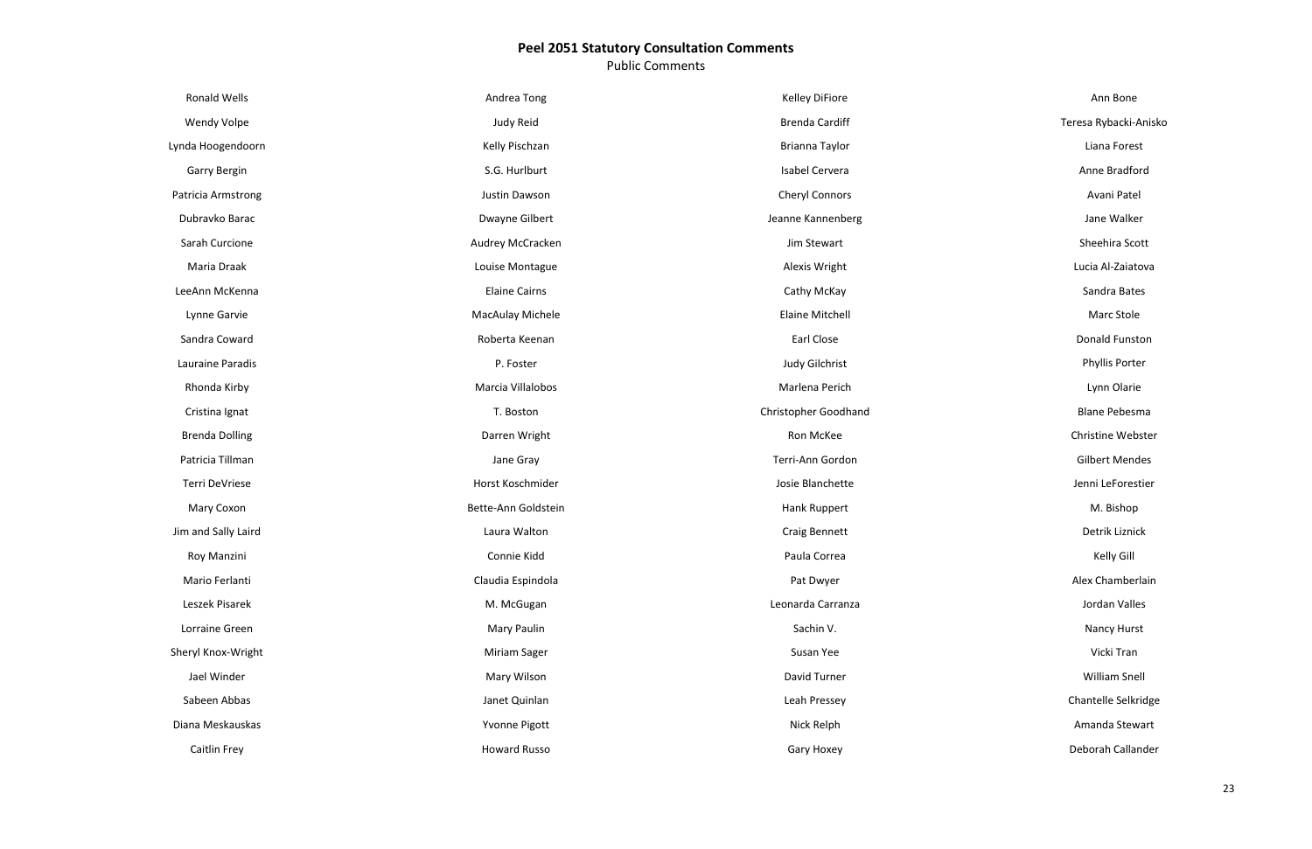Public Comments

| Ronald Wells          | Andrea Tong          | Kelley DiFiore              |
|-----------------------|----------------------|-----------------------------|
| Wendy Volpe           | Judy Reid            | <b>Brenda Cardiff</b>       |
| Lynda Hoogendoorn     | Kelly Pischzan       | Brianna Taylor              |
| Garry Bergin          | S.G. Hurlburt        | Isabel Cervera              |
| Patricia Armstrong    | Justin Dawson        | <b>Cheryl Connors</b>       |
| Dubravko Barac        | Dwayne Gilbert       | Jeanne Kannenberg           |
| Sarah Curcione        | Audrey McCracken     | Jim Stewart                 |
| Maria Draak           | Louise Montague      | Alexis Wright               |
| LeeAnn McKenna        | <b>Elaine Cairns</b> | Cathy McKay                 |
| Lynne Garvie          | MacAulay Michele     | <b>Elaine Mitchell</b>      |
| Sandra Coward         | Roberta Keenan       | Earl Close                  |
| Lauraine Paradis      | P. Foster            | Judy Gilchrist              |
| Rhonda Kirby          | Marcia Villalobos    | Marlena Perich              |
| Cristina Ignat        | T. Boston            | <b>Christopher Goodhand</b> |
| <b>Brenda Dolling</b> | Darren Wright        | Ron McKee                   |
| Patricia Tillman      | Jane Gray            | Terri-Ann Gordon            |
| Terri DeVriese        | Horst Koschmider     | Josie Blanchette            |
| Mary Coxon            | Bette-Ann Goldstein  | Hank Ruppert                |
| Jim and Sally Laird   | Laura Walton         | Craig Bennett               |
| Roy Manzini           | Connie Kidd          | Paula Correa                |
| Mario Ferlanti        | Claudia Espindola    | Pat Dwyer                   |
| Leszek Pisarek        | M. McGugan           | Leonarda Carranza           |
| Lorraine Green        | Mary Paulin          | Sachin V.                   |
| Sheryl Knox-Wright    | Miriam Sager         | Susan Yee                   |
| Jael Winder           | Mary Wilson          | David Turner                |
| Sabeen Abbas          | Janet Quinlan        | Leah Pressey                |
| Diana Meskauskas      | Yvonne Pigott        | Nick Relph                  |
| Caitlin Frey          | <b>Howard Russo</b>  | Gary Hoxey                  |

Ann Bone

Teresa Rybacki-Anisko

Liana Forest

Anne Bradford

Avani Patel

Jane Walker

Sheehira Scott

Lucia Al-Zaiatova

Sandra Bates

Marc Stole

Donald Funston

Phyllis Porter

Lynn Olarie

Blane Pebesma

Christine Webster

Gilbert Mendes

Jenni LeForestier

M. Bishop

Detrik Liznick

Kelly Gill

Alex Chamberlain

Jordan Valles

Nancy Hurst

Vicki Tran

William Snell

Chantelle Selkridge

Amanda Stewart

Deborah Callander